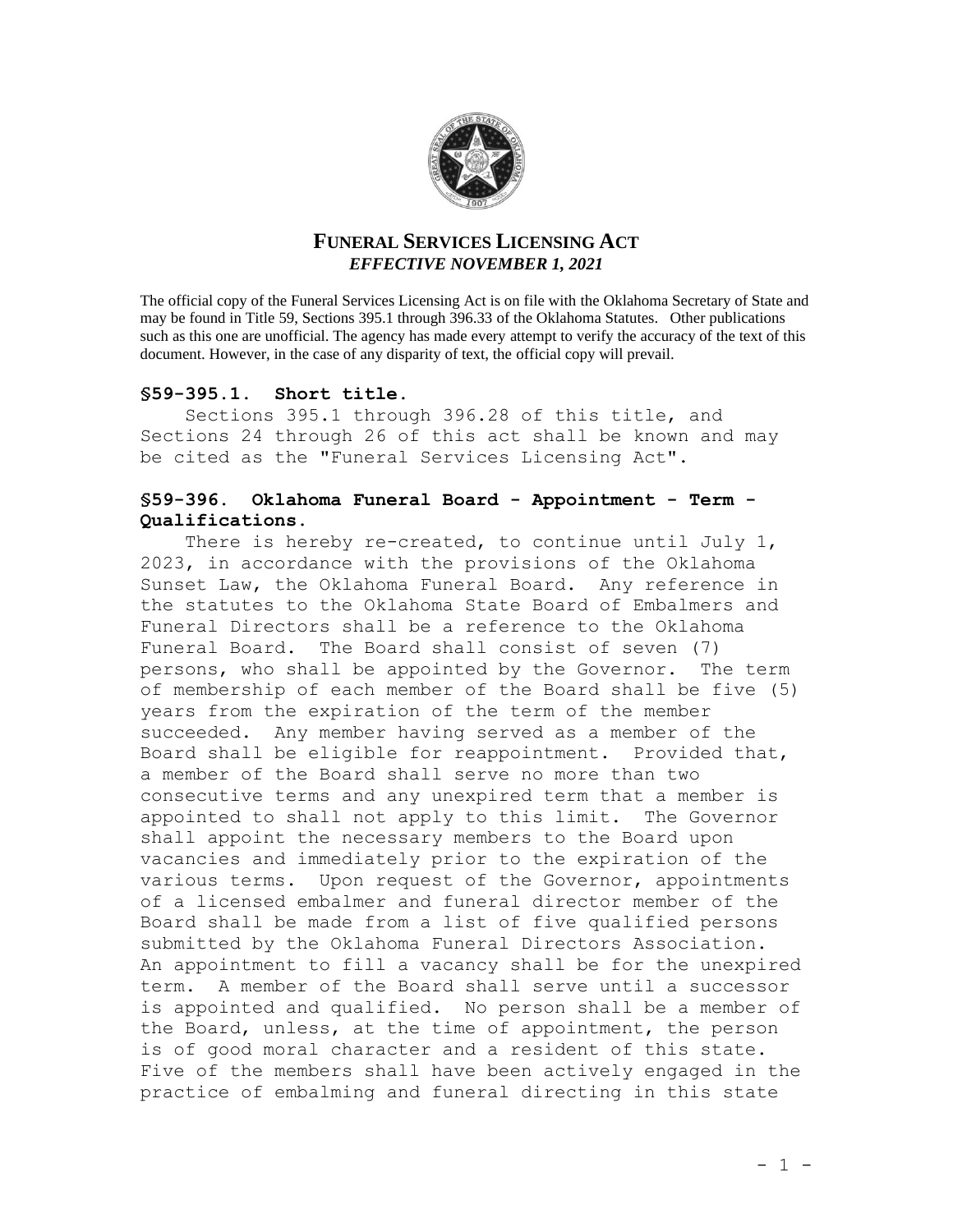

# **FUNERAL SERVICES LICENSING ACT** *EFFECTIVE NOVEMBER 1, 2021*

The official copy of the Funeral Services Licensing Act is on file with the Oklahoma Secretary of State and may be found in Title 59, Sections 395.1 through 396.33 of the Oklahoma Statutes. Other publications such as this one are unofficial. The agency has made every attempt to verify the accuracy of the text of this document. However, in the case of any disparity of text, the official copy will prevail.

## **§59-395.1. Short title.**

Sections 395.1 through 396.28 of this title, and Sections 24 through 26 of this act shall be known and may be cited as the "Funeral Services Licensing Act".

## **§59-396. Oklahoma Funeral Board - Appointment - Term - Qualifications**.

There is hereby re-created, to continue until July 1, 2023, in accordance with the provisions of the Oklahoma Sunset Law, the Oklahoma Funeral Board. Any reference in the statutes to the Oklahoma State Board of Embalmers and Funeral Directors shall be a reference to the Oklahoma Funeral Board. The Board shall consist of seven (7) persons, who shall be appointed by the Governor. The term of membership of each member of the Board shall be five (5) years from the expiration of the term of the member succeeded. Any member having served as a member of the Board shall be eligible for reappointment. Provided that, a member of the Board shall serve no more than two consecutive terms and any unexpired term that a member is appointed to shall not apply to this limit. The Governor shall appoint the necessary members to the Board upon vacancies and immediately prior to the expiration of the various terms. Upon request of the Governor, appointments of a licensed embalmer and funeral director member of the Board shall be made from a list of five qualified persons submitted by the Oklahoma Funeral Directors Association. An appointment to fill a vacancy shall be for the unexpired term. A member of the Board shall serve until a successor is appointed and qualified. No person shall be a member of the Board, unless, at the time of appointment, the person is of good moral character and a resident of this state. Five of the members shall have been actively engaged in the practice of embalming and funeral directing in this state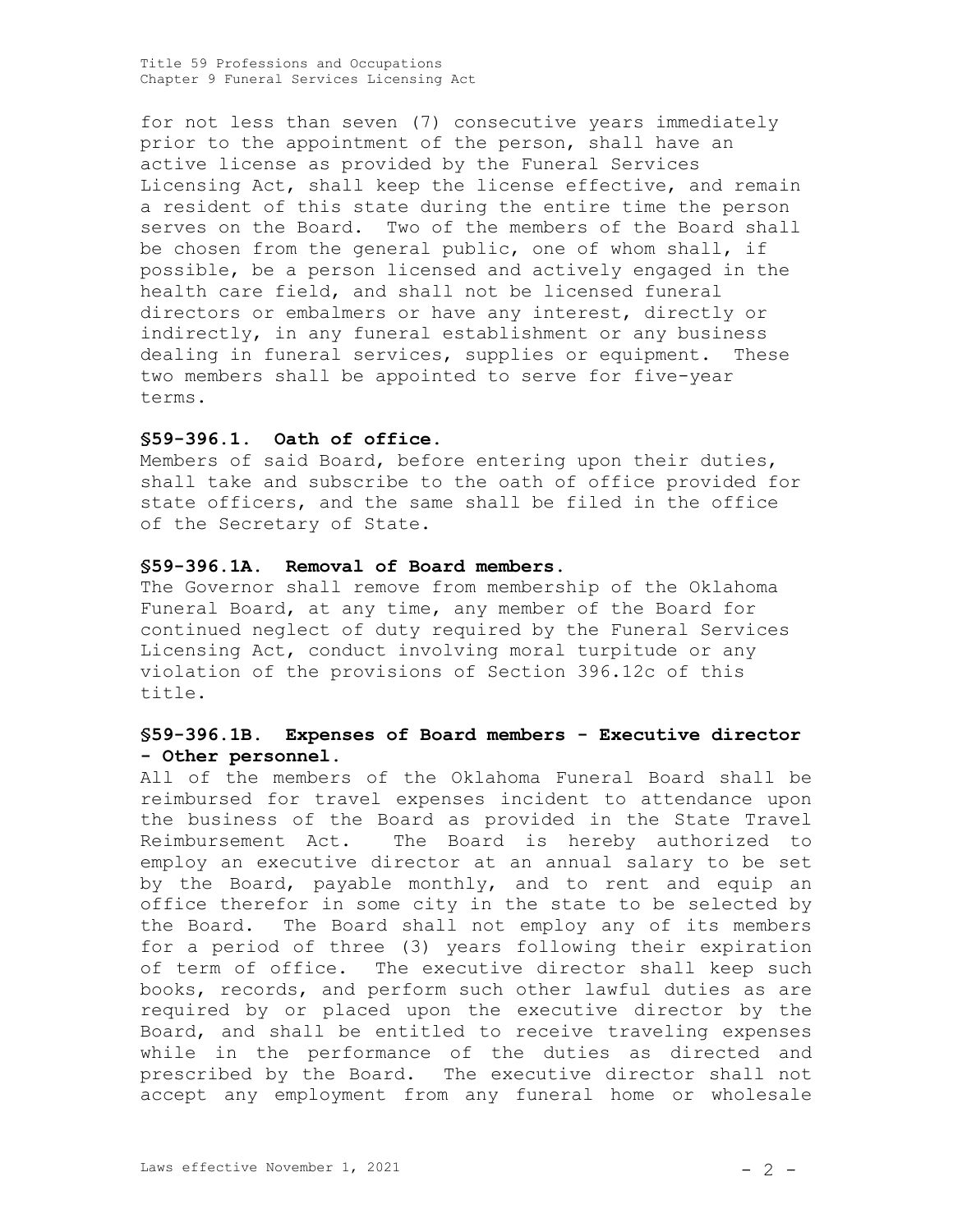for not less than seven (7) consecutive years immediately prior to the appointment of the person, shall have an active license as provided by the Funeral Services Licensing Act, shall keep the license effective, and remain a resident of this state during the entire time the person serves on the Board. Two of the members of the Board shall be chosen from the general public, one of whom shall, if possible, be a person licensed and actively engaged in the health care field, and shall not be licensed funeral directors or embalmers or have any interest, directly or indirectly, in any funeral establishment or any business dealing in funeral services, supplies or equipment. These two members shall be appointed to serve for five-year terms.

### **§59-396.1. Oath of office.**

Members of said Board, before entering upon their duties, shall take and subscribe to the oath of office provided for state officers, and the same shall be filed in the office of the Secretary of State.

#### **§59-396.1A. Removal of Board members.**

The Governor shall remove from membership of the Oklahoma Funeral Board, at any time, any member of the Board for continued neglect of duty required by the Funeral Services Licensing Act, conduct involving moral turpitude or any violation of the provisions of Section 396.12c of this title.

## **§59-396.1B. Expenses of Board members - Executive director - Other personnel.**

All of the members of the Oklahoma Funeral Board shall be reimbursed for travel expenses incident to attendance upon the business of the Board as provided in the State Travel Reimbursement Act. The Board is hereby authorized to employ an executive director at an annual salary to be set by the Board, payable monthly, and to rent and equip an office therefor in some city in the state to be selected by the Board. The Board shall not employ any of its members for a period of three (3) years following their expiration of term of office. The executive director shall keep such books, records, and perform such other lawful duties as are required by or placed upon the executive director by the Board, and shall be entitled to receive traveling expenses while in the performance of the duties as directed and prescribed by the Board. The executive director shall not accept any employment from any funeral home or wholesale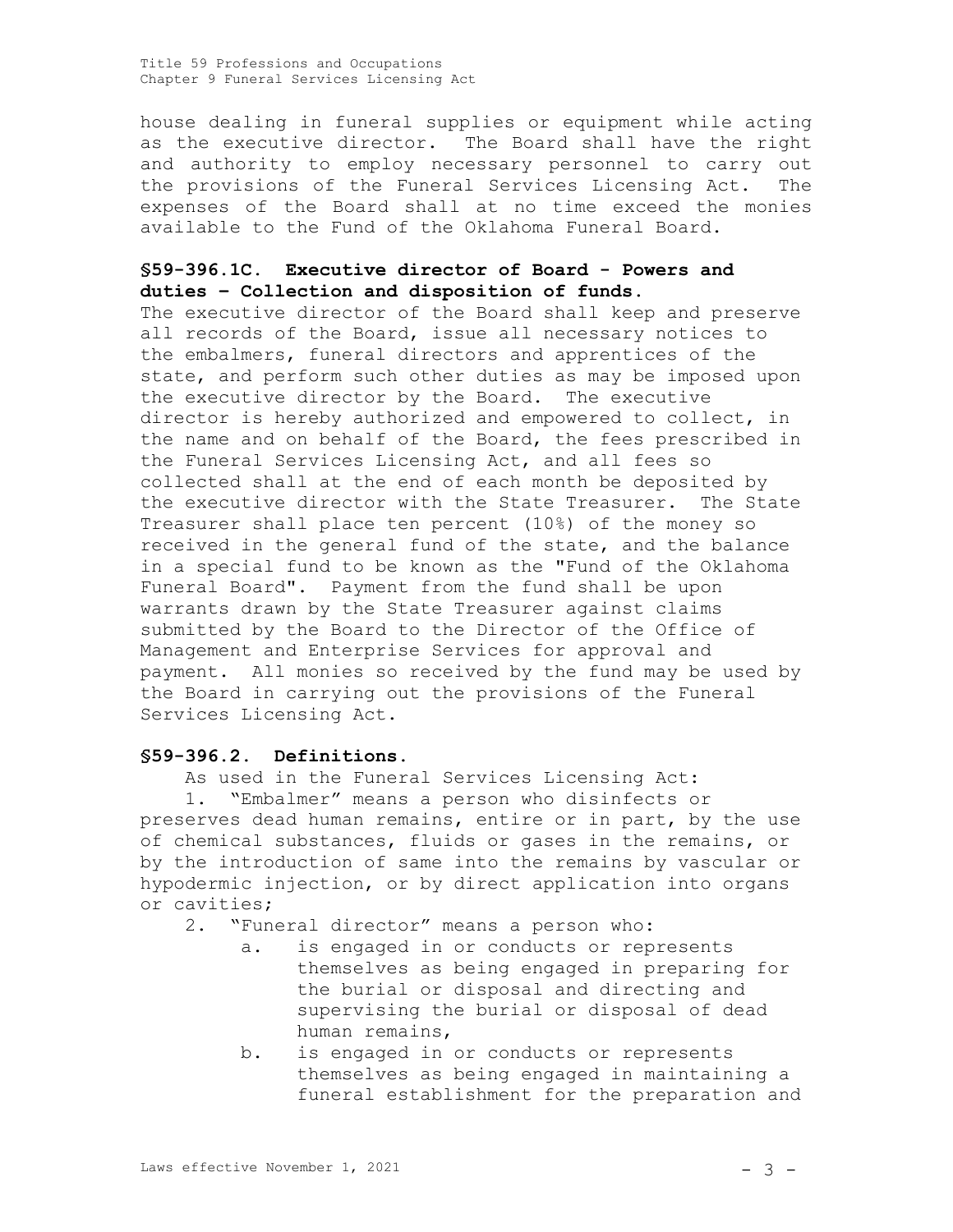house dealing in funeral supplies or equipment while acting as the executive director. The Board shall have the right and authority to employ necessary personnel to carry out the provisions of the Funeral Services Licensing Act. The expenses of the Board shall at no time exceed the monies available to the Fund of the Oklahoma Funeral Board.

# **§59-396.1C. Executive director of Board - Powers and duties – Collection and disposition of funds**.

The executive director of the Board shall keep and preserve all records of the Board, issue all necessary notices to the embalmers, funeral directors and apprentices of the state, and perform such other duties as may be imposed upon the executive director by the Board. The executive director is hereby authorized and empowered to collect, in the name and on behalf of the Board, the fees prescribed in the Funeral Services Licensing Act, and all fees so collected shall at the end of each month be deposited by the executive director with the State Treasurer. The State Treasurer shall place ten percent (10%) of the money so received in the general fund of the state, and the balance in a special fund to be known as the "Fund of the Oklahoma Funeral Board". Payment from the fund shall be upon warrants drawn by the State Treasurer against claims submitted by the Board to the Director of the Office of Management and Enterprise Services for approval and payment. All monies so received by the fund may be used by the Board in carrying out the provisions of the Funeral Services Licensing Act.

## **§59-396.2. Definitions.**

As used in the Funeral Services Licensing Act: 1. "Embalmer" means a person who disinfects or preserves dead human remains, entire or in part, by the use of chemical substances, fluids or gases in the remains, or by the introduction of same into the remains by vascular or hypodermic injection, or by direct application into organs or cavities;

2. "Funeral director" means a person who:

- a. is engaged in or conducts or represents themselves as being engaged in preparing for the burial or disposal and directing and supervising the burial or disposal of dead human remains,
- b. is engaged in or conducts or represents themselves as being engaged in maintaining a funeral establishment for the preparation and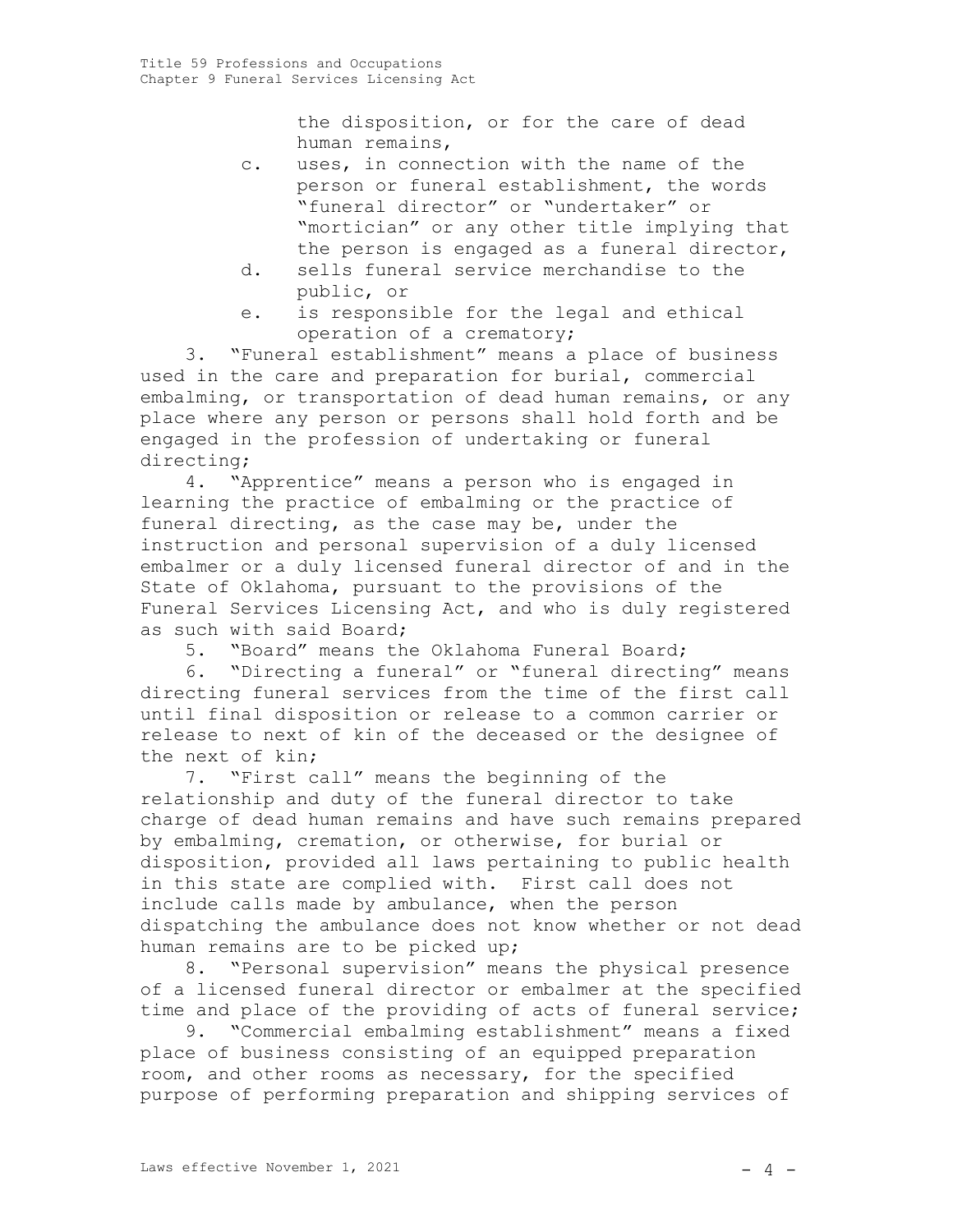the disposition, or for the care of dead human remains,

- c. uses, in connection with the name of the person or funeral establishment, the words "funeral director" or "undertaker" or "mortician" or any other title implying that the person is engaged as a funeral director,
- d. sells funeral service merchandise to the public, or
- e. is responsible for the legal and ethical operation of a crematory;

3. "Funeral establishment" means a place of business used in the care and preparation for burial, commercial embalming, or transportation of dead human remains, or any place where any person or persons shall hold forth and be engaged in the profession of undertaking or funeral directing;

4. "Apprentice" means a person who is engaged in learning the practice of embalming or the practice of funeral directing, as the case may be, under the instruction and personal supervision of a duly licensed embalmer or a duly licensed funeral director of and in the State of Oklahoma, pursuant to the provisions of the Funeral Services Licensing Act, and who is duly registered as such with said Board;

5. "Board" means the Oklahoma Funeral Board;

6. "Directing a funeral" or "funeral directing" means directing funeral services from the time of the first call until final disposition or release to a common carrier or release to next of kin of the deceased or the designee of the next of kin;

7. "First call" means the beginning of the relationship and duty of the funeral director to take charge of dead human remains and have such remains prepared by embalming, cremation, or otherwise, for burial or disposition, provided all laws pertaining to public health in this state are complied with. First call does not include calls made by ambulance, when the person dispatching the ambulance does not know whether or not dead human remains are to be picked up;

8. "Personal supervision" means the physical presence of a licensed funeral director or embalmer at the specified time and place of the providing of acts of funeral service;

9. "Commercial embalming establishment" means a fixed place of business consisting of an equipped preparation room, and other rooms as necessary, for the specified purpose of performing preparation and shipping services of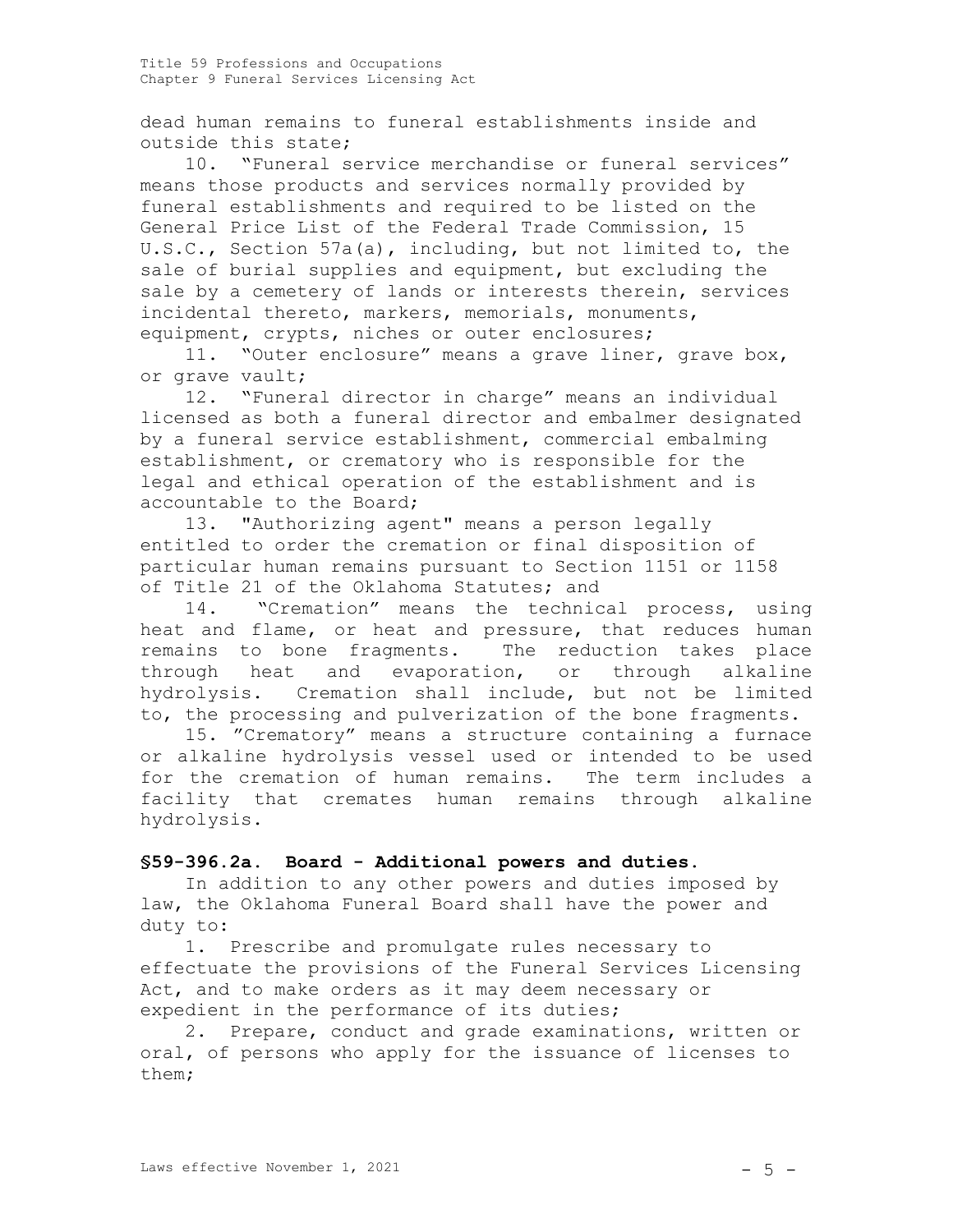dead human remains to funeral establishments inside and outside this state;

10. "Funeral service merchandise or funeral services" means those products and services normally provided by funeral establishments and required to be listed on the General Price List of the Federal Trade Commission, 15 U.S.C., Section 57a(a), including, but not limited to, the sale of burial supplies and equipment, but excluding the sale by a cemetery of lands or interests therein, services incidental thereto, markers, memorials, monuments, equipment, crypts, niches or outer enclosures;

11. "Outer enclosure" means a grave liner, grave box, or grave vault;

12. "Funeral director in charge" means an individual licensed as both a funeral director and embalmer designated by a funeral service establishment, commercial embalming establishment, or crematory who is responsible for the legal and ethical operation of the establishment and is accountable to the Board;

13. "Authorizing agent" means a person legally entitled to order the cremation or final disposition of particular human remains pursuant to Section 1151 or 1158 of Title 21 of the Oklahoma Statutes; and

14. "Cremation" means the technical process, using heat and flame, or heat and pressure, that reduces human remains to bone fragments. The reduction takes place through heat and evaporation, or through alkaline hydrolysis. Cremation shall include, but not be limited to, the processing and pulverization of the bone fragments.

15. "Crematory" means a structure containing a furnace or alkaline hydrolysis vessel used or intended to be used for the cremation of human remains. The term includes a facility that cremates human remains through alkaline hydrolysis.

#### **§59-396.2a. Board - Additional powers and duties.**

In addition to any other powers and duties imposed by law, the Oklahoma Funeral Board shall have the power and duty to:

1. Prescribe and promulgate rules necessary to effectuate the provisions of the Funeral Services Licensing Act, and to make orders as it may deem necessary or expedient in the performance of its duties;

2. Prepare, conduct and grade examinations, written or oral, of persons who apply for the issuance of licenses to them;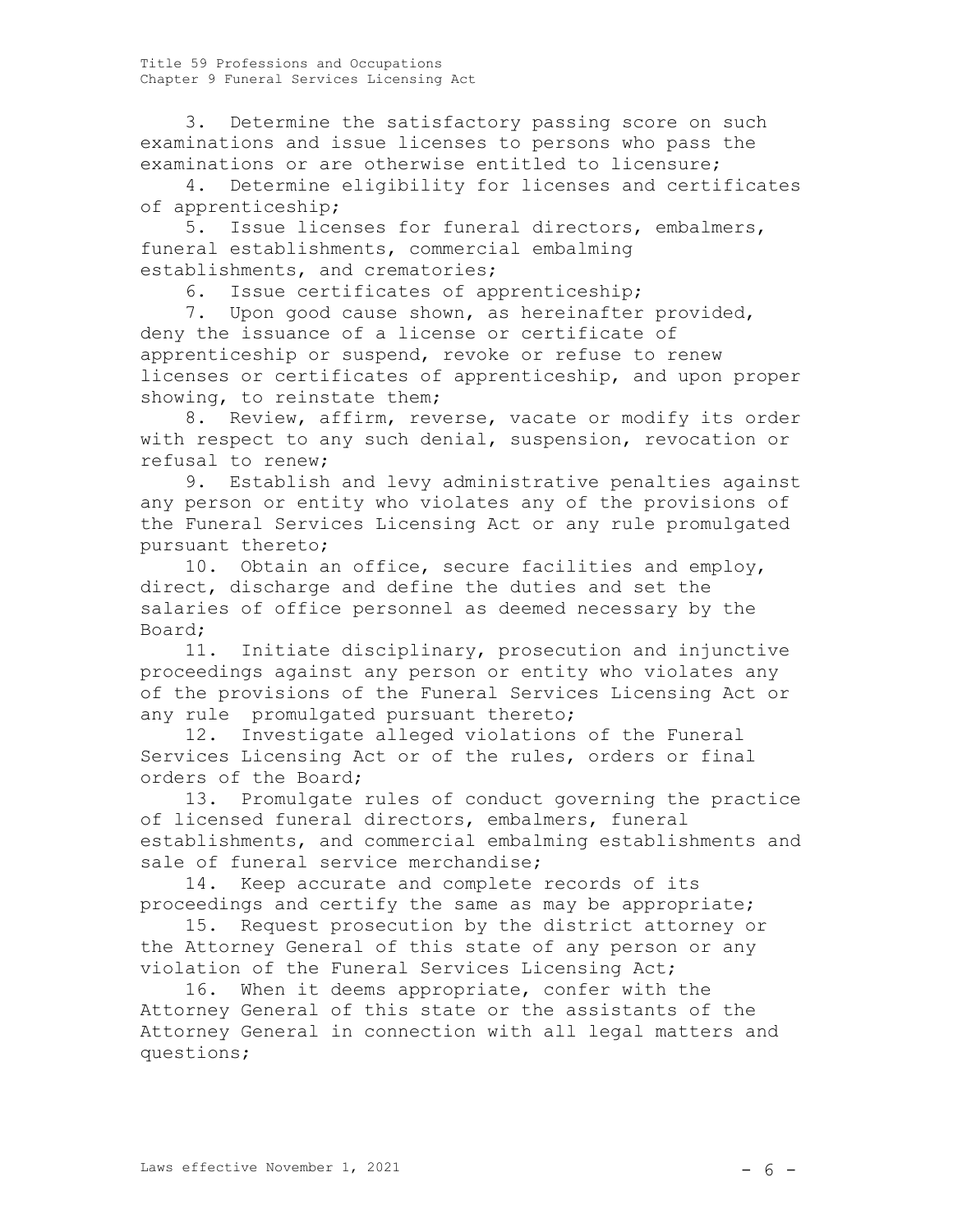3. Determine the satisfactory passing score on such examinations and issue licenses to persons who pass the examinations or are otherwise entitled to licensure;

4. Determine eligibility for licenses and certificates of apprenticeship;

5. Issue licenses for funeral directors, embalmers, funeral establishments, commercial embalming establishments, and crematories;

6. Issue certificates of apprenticeship;

7. Upon good cause shown, as hereinafter provided, deny the issuance of a license or certificate of apprenticeship or suspend, revoke or refuse to renew licenses or certificates of apprenticeship, and upon proper showing, to reinstate them;

8. Review, affirm, reverse, vacate or modify its order with respect to any such denial, suspension, revocation or refusal to renew;

9. Establish and levy administrative penalties against any person or entity who violates any of the provisions of the Funeral Services Licensing Act or any rule promulgated pursuant thereto;

10. Obtain an office, secure facilities and employ, direct, discharge and define the duties and set the salaries of office personnel as deemed necessary by the Board;

11. Initiate disciplinary, prosecution and injunctive proceedings against any person or entity who violates any of the provisions of the Funeral Services Licensing Act or any rule promulgated pursuant thereto;

12. Investigate alleged violations of the Funeral Services Licensing Act or of the rules, orders or final orders of the Board;

13. Promulgate rules of conduct governing the practice of licensed funeral directors, embalmers, funeral establishments, and commercial embalming establishments and sale of funeral service merchandise;

14. Keep accurate and complete records of its proceedings and certify the same as may be appropriate;

15. Request prosecution by the district attorney or the Attorney General of this state of any person or any violation of the Funeral Services Licensing Act;

16. When it deems appropriate, confer with the Attorney General of this state or the assistants of the Attorney General in connection with all legal matters and questions;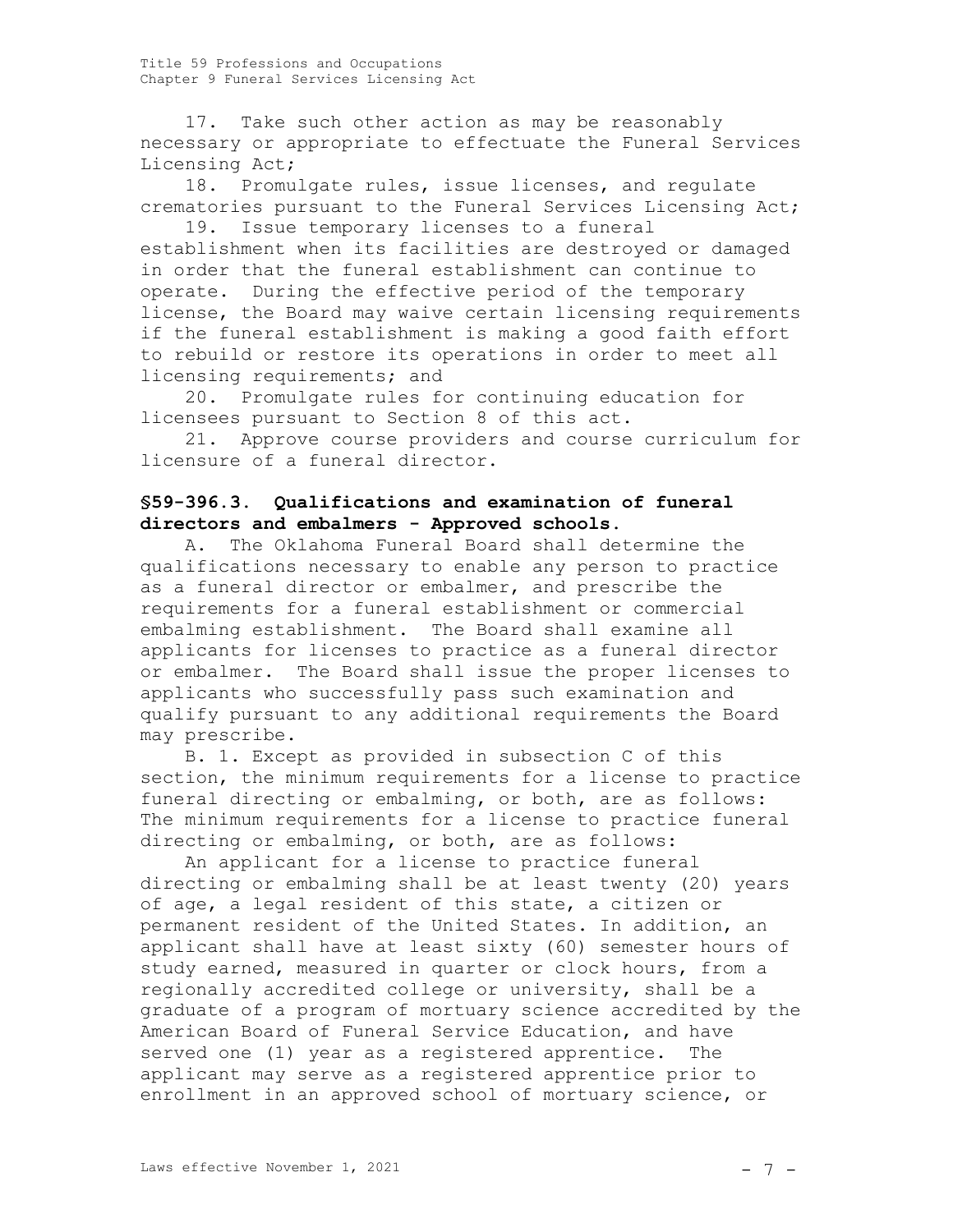17. Take such other action as may be reasonably necessary or appropriate to effectuate the Funeral Services Licensing Act;

18. Promulgate rules, issue licenses, and regulate crematories pursuant to the Funeral Services Licensing Act;

19. Issue temporary licenses to a funeral establishment when its facilities are destroyed or damaged in order that the funeral establishment can continue to operate. During the effective period of the temporary license, the Board may waive certain licensing requirements if the funeral establishment is making a good faith effort to rebuild or restore its operations in order to meet all licensing requirements; and

20. Promulgate rules for continuing education for licensees pursuant to Section 8 of this act.

21. Approve course providers and course curriculum for licensure of a funeral director.

# **§59-396.3. Qualifications and examination of funeral directors and embalmers - Approved schools.**

A. The Oklahoma Funeral Board shall determine the qualifications necessary to enable any person to practice as a funeral director or embalmer, and prescribe the requirements for a funeral establishment or commercial embalming establishment. The Board shall examine all applicants for licenses to practice as a funeral director or embalmer. The Board shall issue the proper licenses to applicants who successfully pass such examination and qualify pursuant to any additional requirements the Board may prescribe.

B. 1. Except as provided in subsection C of this section, the minimum requirements for a license to practice funeral directing or embalming, or both, are as follows: The minimum requirements for a license to practice funeral directing or embalming, or both, are as follows:

An applicant for a license to practice funeral directing or embalming shall be at least twenty (20) years of age, a legal resident of this state, a citizen or permanent resident of the United States. In addition, an applicant shall have at least sixty (60) semester hours of study earned, measured in quarter or clock hours, from a regionally accredited college or university, shall be a graduate of a program of mortuary science accredited by the American Board of Funeral Service Education, and have served one (1) year as a registered apprentice. The applicant may serve as a registered apprentice prior to enrollment in an approved school of mortuary science, or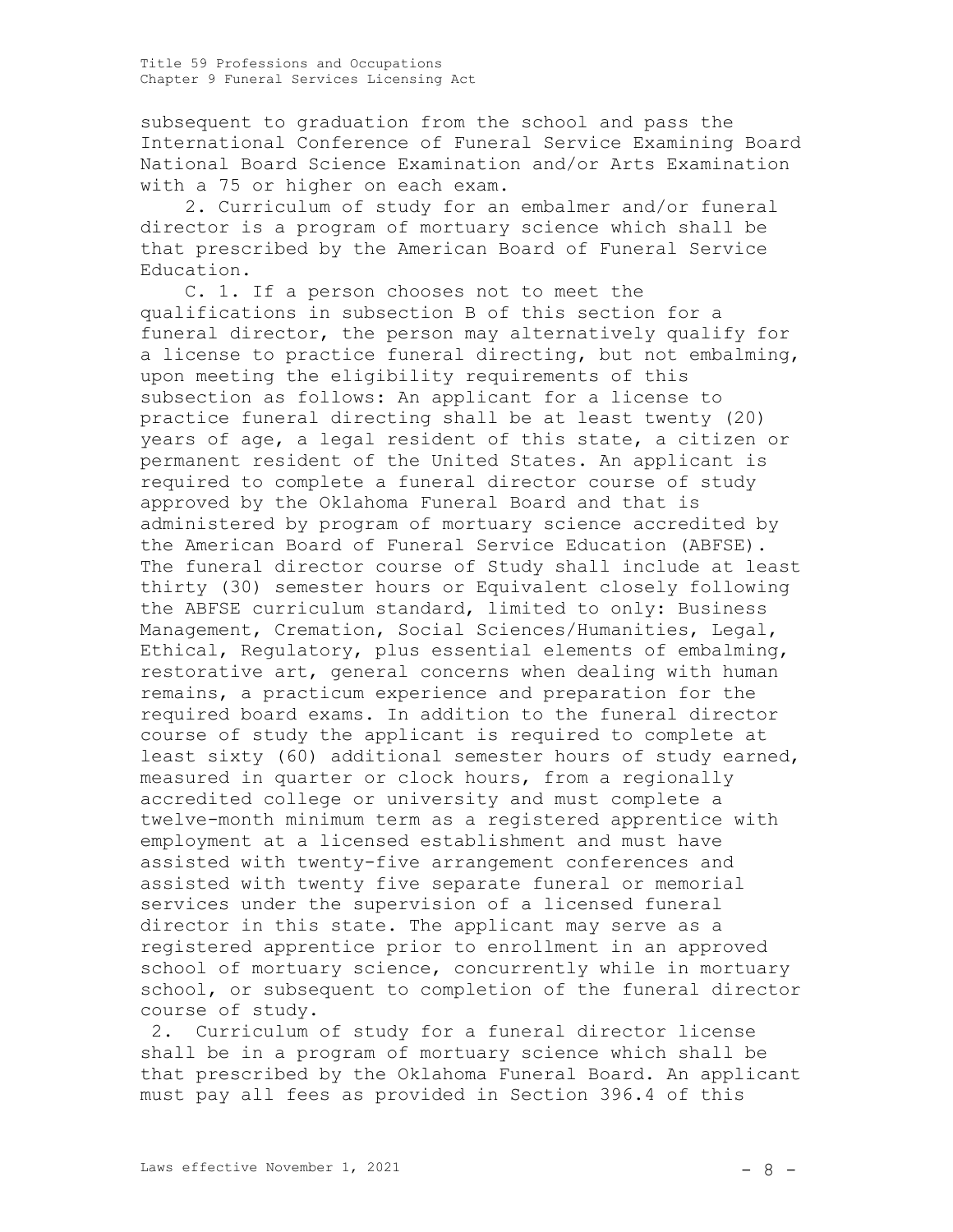subsequent to graduation from the school and pass the International Conference of Funeral Service Examining Board National Board Science Examination and/or Arts Examination with a 75 or higher on each exam.

2. Curriculum of study for an embalmer and/or funeral director is a program of mortuary science which shall be that prescribed by the American Board of Funeral Service Education.

C. 1. If a person chooses not to meet the qualifications in subsection B of this section for a funeral director, the person may alternatively qualify for a license to practice funeral directing, but not embalming, upon meeting the eligibility requirements of this subsection as follows: An applicant for a license to practice funeral directing shall be at least twenty (20) years of age, a legal resident of this state, a citizen or permanent resident of the United States. An applicant is required to complete a funeral director course of study approved by the Oklahoma Funeral Board and that is administered by program of mortuary science accredited by the American Board of Funeral Service Education (ABFSE). The funeral director course of Study shall include at least thirty (30) semester hours or Equivalent closely following the ABFSE curriculum standard, limited to only: Business Management, Cremation, Social Sciences/Humanities, Legal, Ethical, Regulatory, plus essential elements of embalming, restorative art, general concerns when dealing with human remains, a practicum experience and preparation for the required board exams. In addition to the funeral director course of study the applicant is required to complete at least sixty (60) additional semester hours of study earned, measured in quarter or clock hours, from a regionally accredited college or university and must complete a twelve-month minimum term as a registered apprentice with employment at a licensed establishment and must have assisted with twenty-five arrangement conferences and assisted with twenty five separate funeral or memorial services under the supervision of a licensed funeral director in this state. The applicant may serve as a registered apprentice prior to enrollment in an approved school of mortuary science, concurrently while in mortuary school, or subsequent to completion of the funeral director course of study.

2. Curriculum of study for a funeral director license shall be in a program of mortuary science which shall be that prescribed by the Oklahoma Funeral Board. An applicant must pay all fees as provided in Section 396.4 of this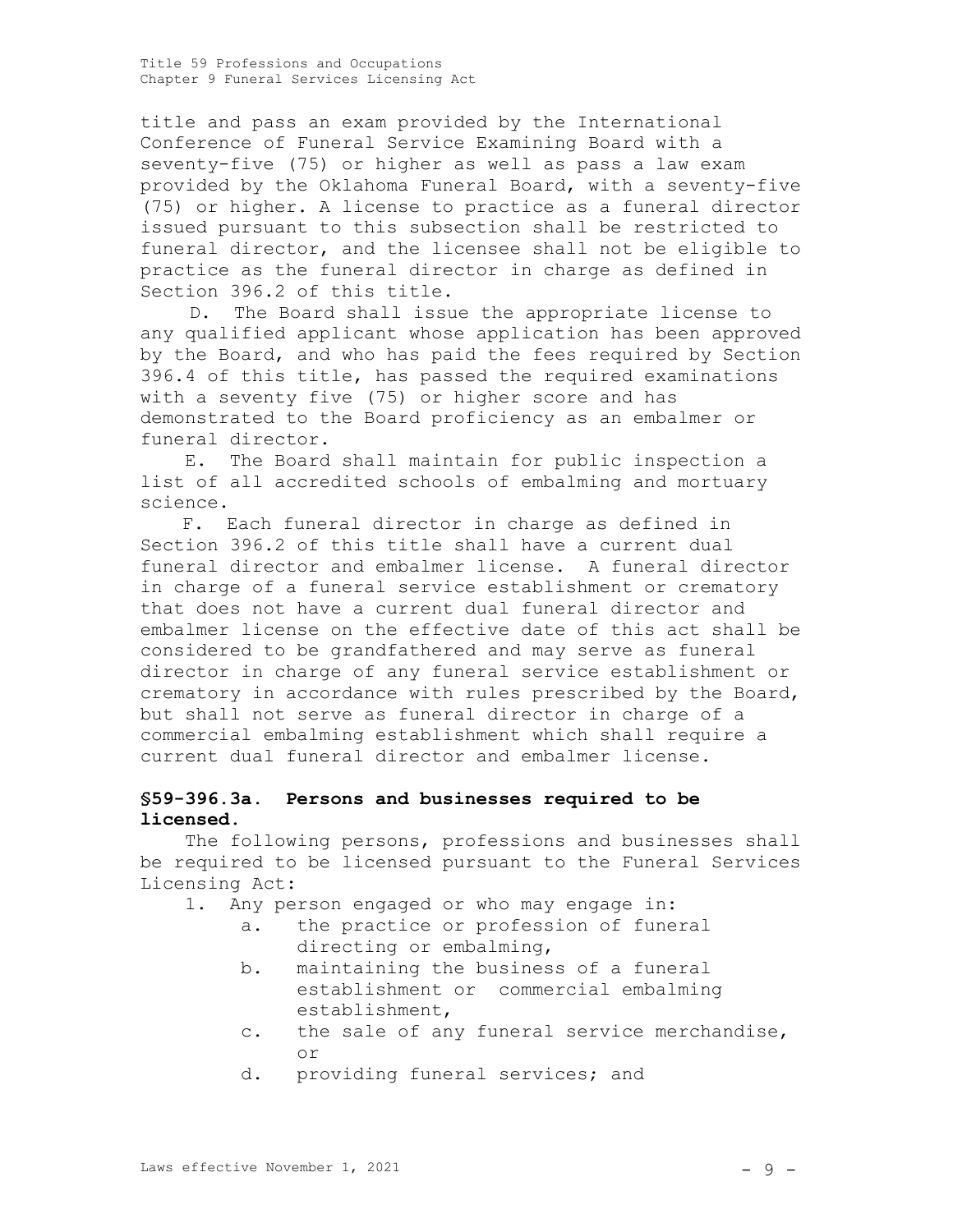title and pass an exam provided by the International Conference of Funeral Service Examining Board with a seventy-five (75) or higher as well as pass a law exam provided by the Oklahoma Funeral Board, with a seventy-five (75) or higher. A license to practice as a funeral director issued pursuant to this subsection shall be restricted to funeral director, and the licensee shall not be eligible to practice as the funeral director in charge as defined in Section 396.2 of this title.

D. The Board shall issue the appropriate license to any qualified applicant whose application has been approved by the Board, and who has paid the fees required by Section 396.4 of this title, has passed the required examinations with a seventy five (75) or higher score and has demonstrated to the Board proficiency as an embalmer or funeral director.

E. The Board shall maintain for public inspection a list of all accredited schools of embalming and mortuary science.

F. Each funeral director in charge as defined in Section 396.2 of this title shall have a current dual funeral director and embalmer license. A funeral director in charge of a funeral service establishment or crematory that does not have a current dual funeral director and embalmer license on the effective date of this act shall be considered to be grandfathered and may serve as funeral director in charge of any funeral service establishment or crematory in accordance with rules prescribed by the Board, but shall not serve as funeral director in charge of a commercial embalming establishment which shall require a current dual funeral director and embalmer license.

## **§59-396.3a. Persons and businesses required to be licensed.**

The following persons, professions and businesses shall be required to be licensed pursuant to the Funeral Services Licensing Act:

- 1. Any person engaged or who may engage in:
	- a. the practice or profession of funeral directing or embalming,
	- b. maintaining the business of a funeral establishment or commercial embalming establishment,
	- c. the sale of any funeral service merchandise, or
	- d. providing funeral services; and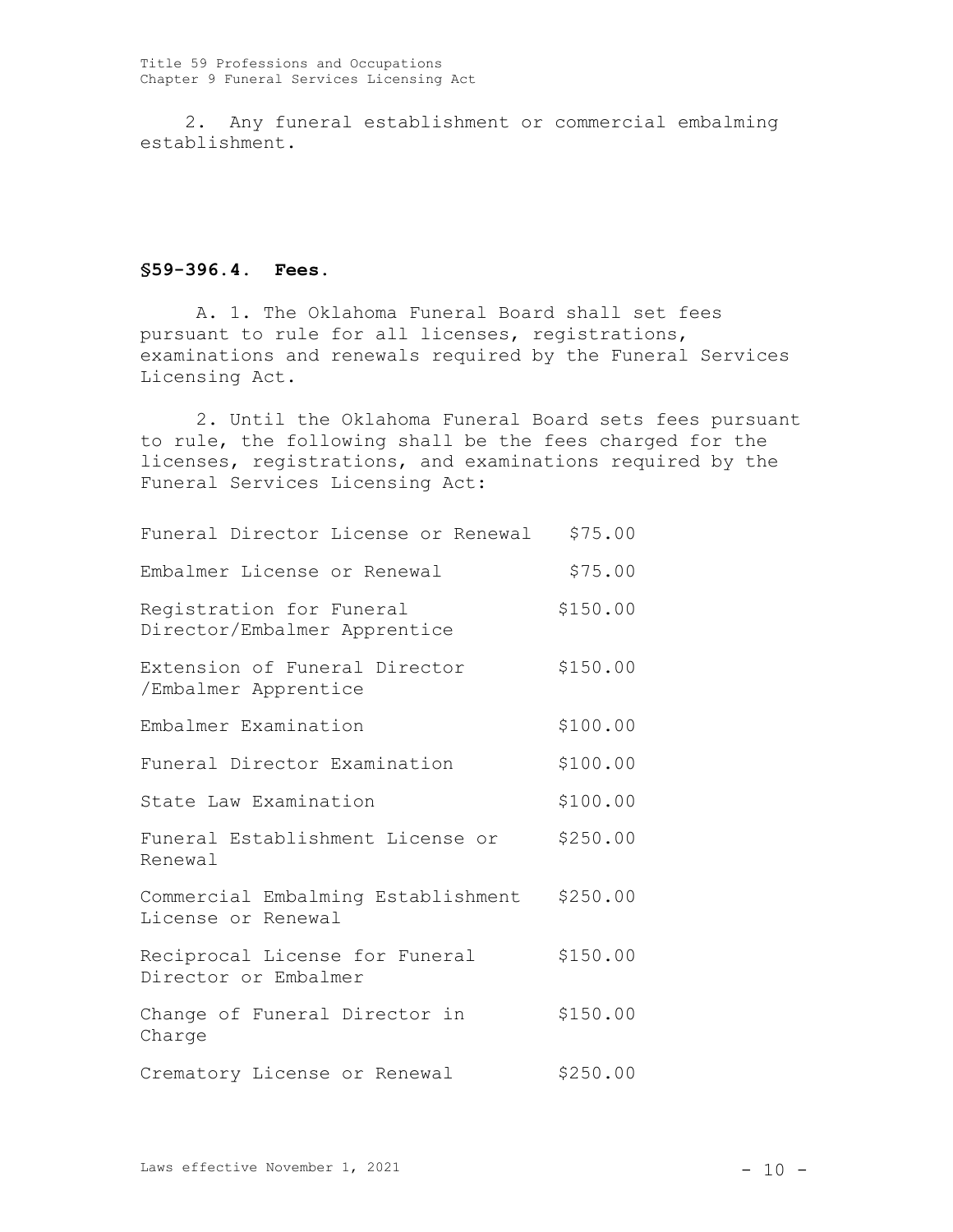2. Any funeral establishment or commercial embalming establishment.

## **§59-396.4. Fees.**

A. 1. The Oklahoma Funeral Board shall set fees pursuant to rule for all licenses, registrations, examinations and renewals required by the Funeral Services Licensing Act.

2. Until the Oklahoma Funeral Board sets fees pursuant to rule, the following shall be the fees charged for the licenses, registrations, and examinations required by the Funeral Services Licensing Act:

| Funeral Director License or Renewal                      | \$75.00  |
|----------------------------------------------------------|----------|
| Embalmer License or Renewal                              | \$75.00  |
| Registration for Funeral<br>Director/Embalmer Apprentice | \$150.00 |
| Extension of Funeral Director<br>/Embalmer Apprentice    | \$150.00 |
| Embalmer Examination                                     | \$100.00 |
| Funeral Director Examination                             | \$100.00 |
| State Law Examination                                    | \$100.00 |
| Funeral Establishment License or<br>Renewal              | \$250.00 |
| Commercial Embalming Establishment<br>License or Renewal | \$250.00 |
| Reciprocal License for Funeral<br>Director or Embalmer   | \$150.00 |
| Change of Funeral Director in<br>Charge                  | \$150.00 |
| Crematory License or Renewal                             | \$250.00 |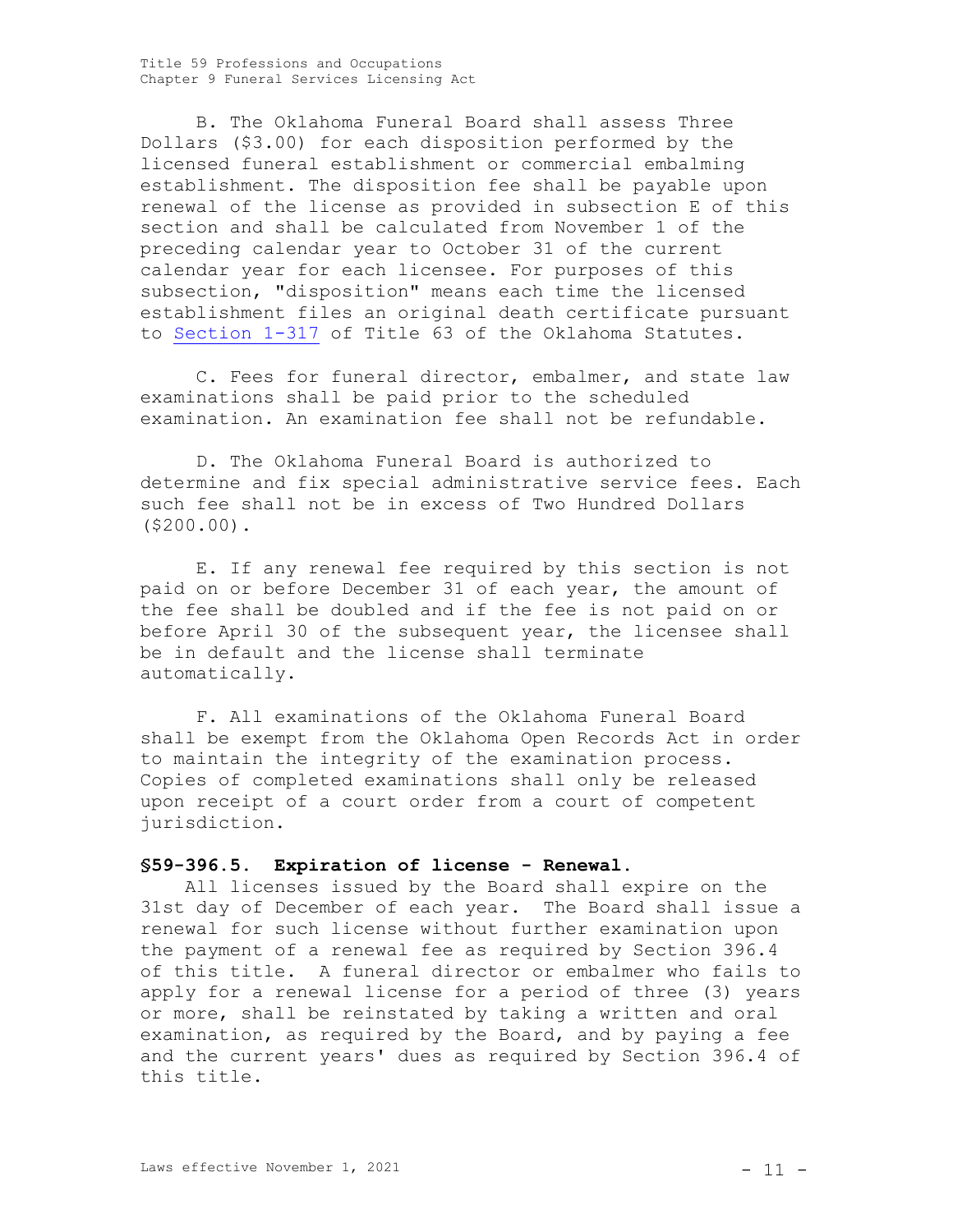B. The Oklahoma Funeral Board shall assess Three Dollars (\$3.00) for each disposition performed by the licensed funeral establishment or commercial embalming establishment. The disposition fee shall be payable upon renewal of the license as provided in subsection E of this section and shall be calculated from November 1 of the preceding calendar year to October 31 of the current calendar year for each licensee. For purposes of this subsection, "disposition" means each time the licensed establishment files an original death certificate pursuant to [Section 1-317](http://www.oscn.net/applications/oscn/DeliverDocument.asp?citeid=98030) of Title 63 of the Oklahoma Statutes.

C. Fees for funeral director, embalmer, and state law examinations shall be paid prior to the scheduled examination. An examination fee shall not be refundable.

D. The Oklahoma Funeral Board is authorized to determine and fix special administrative service fees. Each such fee shall not be in excess of Two Hundred Dollars (\$200.00).

E. If any renewal fee required by this section is not paid on or before December 31 of each year, the amount of the fee shall be doubled and if the fee is not paid on or before April 30 of the subsequent year, the licensee shall be in default and the license shall terminate automatically.

F. All examinations of the Oklahoma Funeral Board shall be exempt from the Oklahoma Open Records Act in order to maintain the integrity of the examination process. Copies of completed examinations shall only be released upon receipt of a court order from a court of competent jurisdiction.

### **§59-396.5. Expiration of license - Renewal.**

All licenses issued by the Board shall expire on the 31st day of December of each year. The Board shall issue a renewal for such license without further examination upon the payment of a renewal fee as required by Section 396.4 of this title. A funeral director or embalmer who fails to apply for a renewal license for a period of three (3) years or more, shall be reinstated by taking a written and oral examination, as required by the Board, and by paying a fee and the current years' dues as required by Section 396.4 of this title.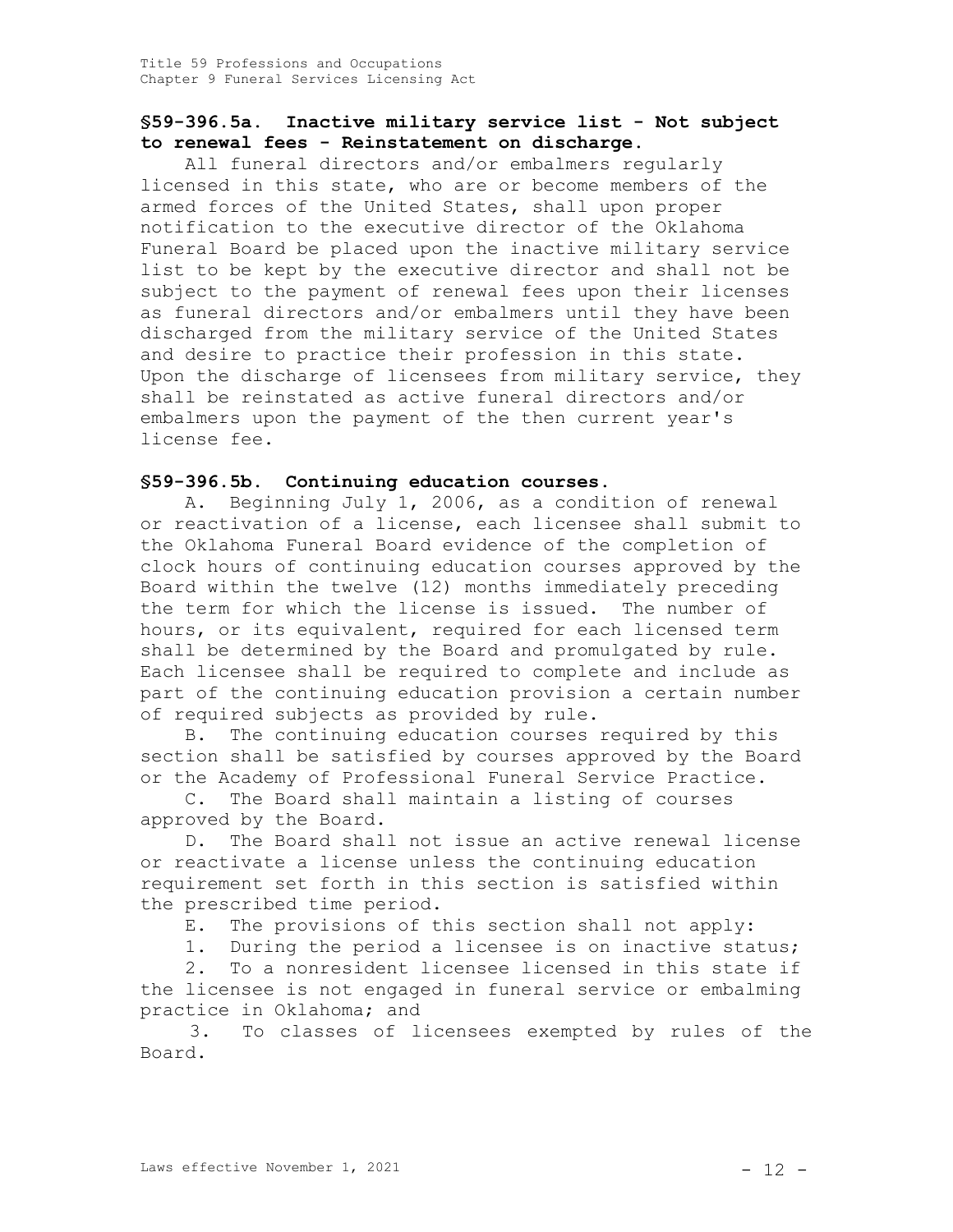## **§59-396.5a. Inactive military service list - Not subject to renewal fees - Reinstatement on discharge.**

All funeral directors and/or embalmers regularly licensed in this state, who are or become members of the armed forces of the United States, shall upon proper notification to the executive director of the Oklahoma Funeral Board be placed upon the inactive military service list to be kept by the executive director and shall not be subject to the payment of renewal fees upon their licenses as funeral directors and/or embalmers until they have been discharged from the military service of the United States and desire to practice their profession in this state. Upon the discharge of licensees from military service, they shall be reinstated as active funeral directors and/or embalmers upon the payment of the then current year's license fee.

## **§59-396.5b. Continuing education courses.**

A. Beginning July 1, 2006, as a condition of renewal or reactivation of a license, each licensee shall submit to the Oklahoma Funeral Board evidence of the completion of clock hours of continuing education courses approved by the Board within the twelve (12) months immediately preceding the term for which the license is issued. The number of hours, or its equivalent, required for each licensed term shall be determined by the Board and promulgated by rule. Each licensee shall be required to complete and include as part of the continuing education provision a certain number of required subjects as provided by rule.

B. The continuing education courses required by this section shall be satisfied by courses approved by the Board or the Academy of Professional Funeral Service Practice.

C. The Board shall maintain a listing of courses approved by the Board.

D. The Board shall not issue an active renewal license or reactivate a license unless the continuing education requirement set forth in this section is satisfied within the prescribed time period.

E. The provisions of this section shall not apply:

1. During the period a licensee is on inactive status;

2. To a nonresident licensee licensed in this state if the licensee is not engaged in funeral service or embalming practice in Oklahoma; and

3. To classes of licensees exempted by rules of the Board.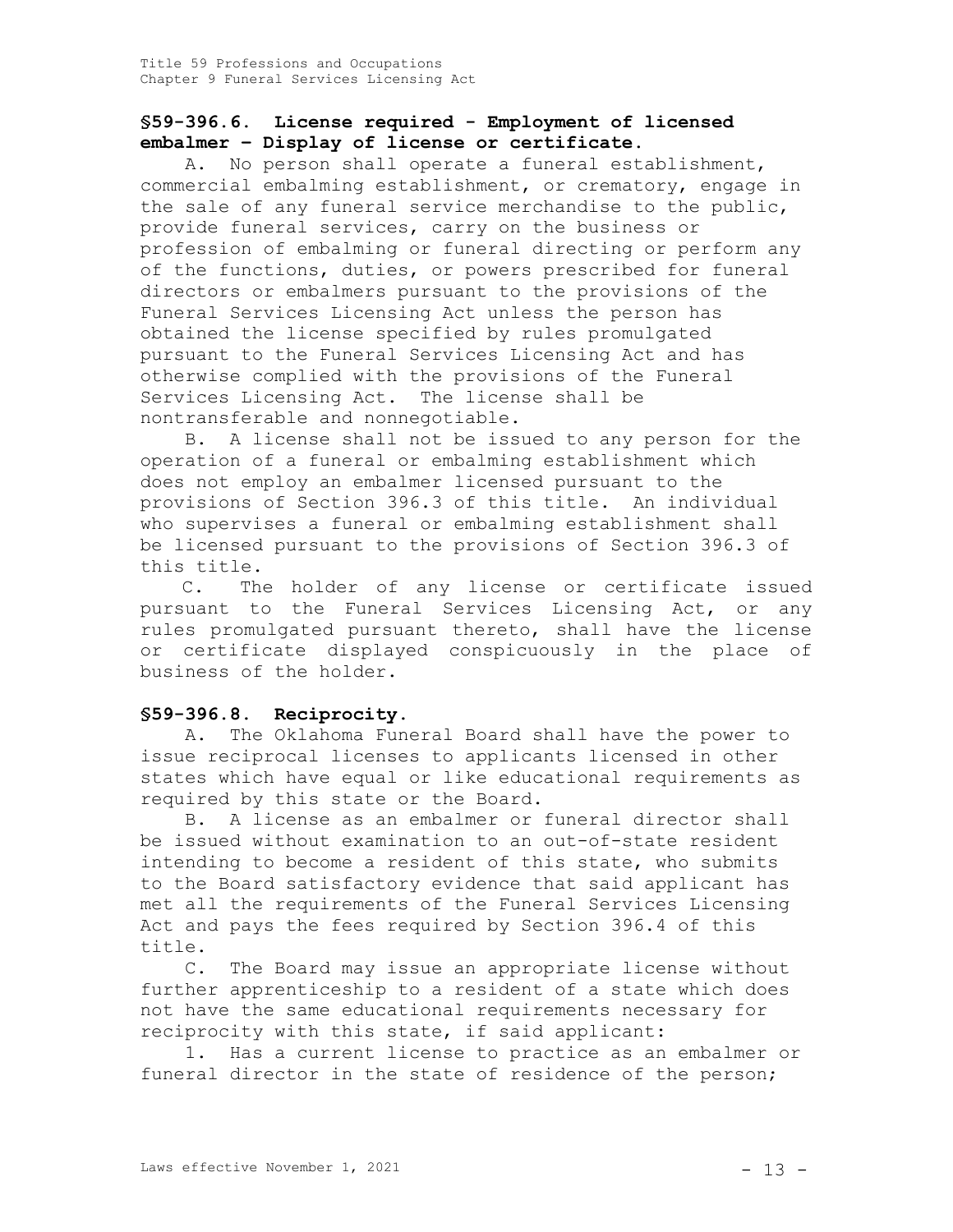## **§59-396.6. License required - Employment of licensed embalmer – Display of license or certificate**.

A. No person shall operate a funeral establishment, commercial embalming establishment, or crematory, engage in the sale of any funeral service merchandise to the public, provide funeral services, carry on the business or profession of embalming or funeral directing or perform any of the functions, duties, or powers prescribed for funeral directors or embalmers pursuant to the provisions of the Funeral Services Licensing Act unless the person has obtained the license specified by rules promulgated pursuant to the Funeral Services Licensing Act and has otherwise complied with the provisions of the Funeral Services Licensing Act. The license shall be nontransferable and nonnegotiable.

B. A license shall not be issued to any person for the operation of a funeral or embalming establishment which does not employ an embalmer licensed pursuant to the provisions of Section 396.3 of this title. An individual who supervises a funeral or embalming establishment shall be licensed pursuant to the provisions of Section 396.3 of this title.

C. The holder of any license or certificate issued pursuant to the Funeral Services Licensing Act, or any rules promulgated pursuant thereto, shall have the license or certificate displayed conspicuously in the place of business of the holder.

## **§59-396.8. Reciprocity.**

A. The Oklahoma Funeral Board shall have the power to issue reciprocal licenses to applicants licensed in other states which have equal or like educational requirements as required by this state or the Board.

B. A license as an embalmer or funeral director shall be issued without examination to an out-of-state resident intending to become a resident of this state, who submits to the Board satisfactory evidence that said applicant has met all the requirements of the Funeral Services Licensing Act and pays the fees required by Section 396.4 of this title.

C. The Board may issue an appropriate license without further apprenticeship to a resident of a state which does not have the same educational requirements necessary for reciprocity with this state, if said applicant:

1. Has a current license to practice as an embalmer or funeral director in the state of residence of the person;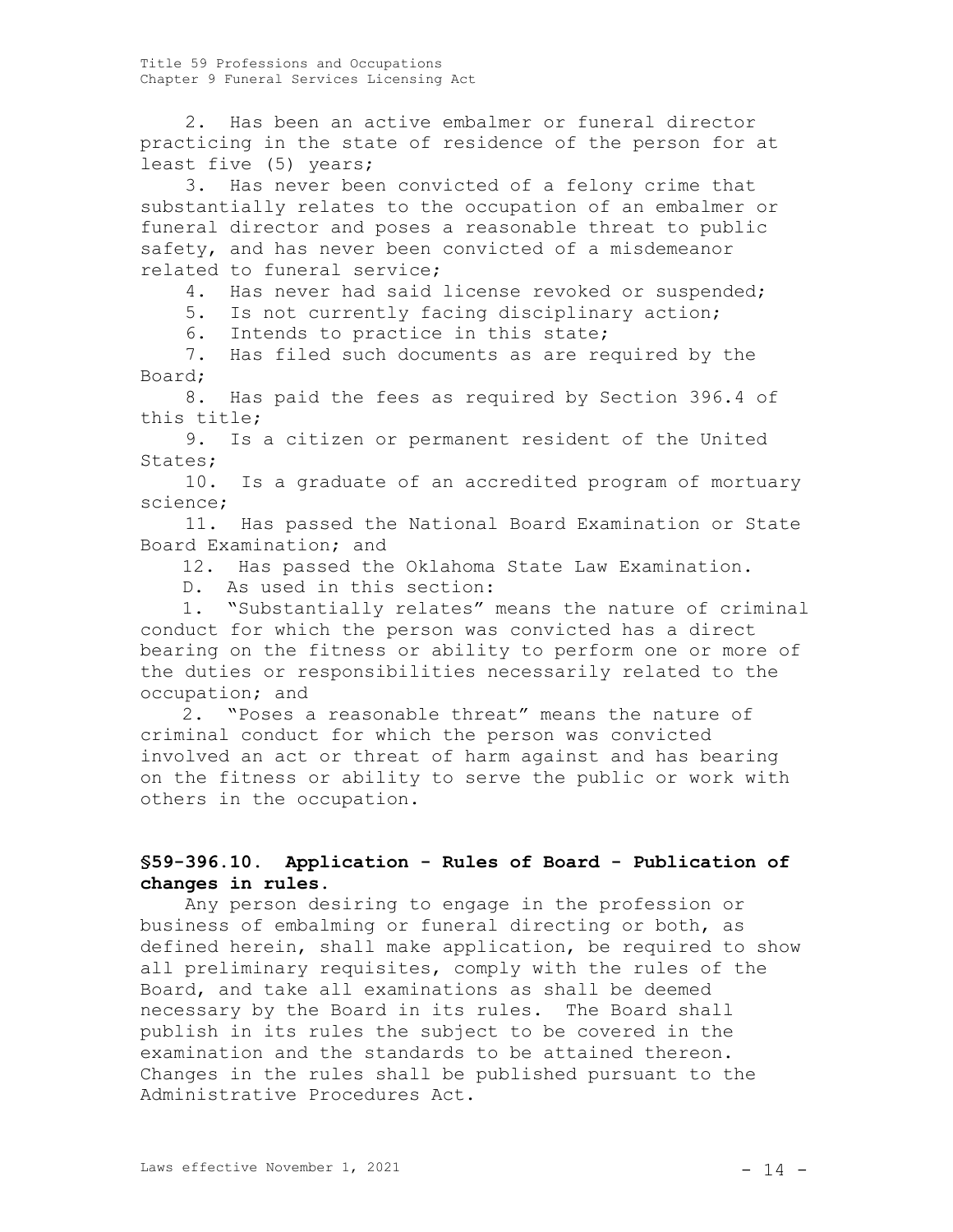2. Has been an active embalmer or funeral director practicing in the state of residence of the person for at least five (5) years;

3. Has never been convicted of a felony crime that substantially relates to the occupation of an embalmer or funeral director and poses a reasonable threat to public safety, and has never been convicted of a misdemeanor related to funeral service;

4. Has never had said license revoked or suspended;

5. Is not currently facing disciplinary action;

6. Intends to practice in this state;

7. Has filed such documents as are required by the Board;

8. Has paid the fees as required by Section 396.4 of this title;

9. Is a citizen or permanent resident of the United States;

10. Is a graduate of an accredited program of mortuary science;

11. Has passed the National Board Examination or State Board Examination; and

12. Has passed the Oklahoma State Law Examination.

D. As used in this section:

1. "Substantially relates" means the nature of criminal conduct for which the person was convicted has a direct bearing on the fitness or ability to perform one or more of the duties or responsibilities necessarily related to the occupation; and

2. "Poses a reasonable threat" means the nature of criminal conduct for which the person was convicted involved an act or threat of harm against and has bearing on the fitness or ability to serve the public or work with others in the occupation.

# **§59-396.10. Application - Rules of Board - Publication of changes in rules.**

Any person desiring to engage in the profession or business of embalming or funeral directing or both, as defined herein, shall make application, be required to show all preliminary requisites, comply with the rules of the Board, and take all examinations as shall be deemed necessary by the Board in its rules. The Board shall publish in its rules the subject to be covered in the examination and the standards to be attained thereon. Changes in the rules shall be published pursuant to the Administrative Procedures Act.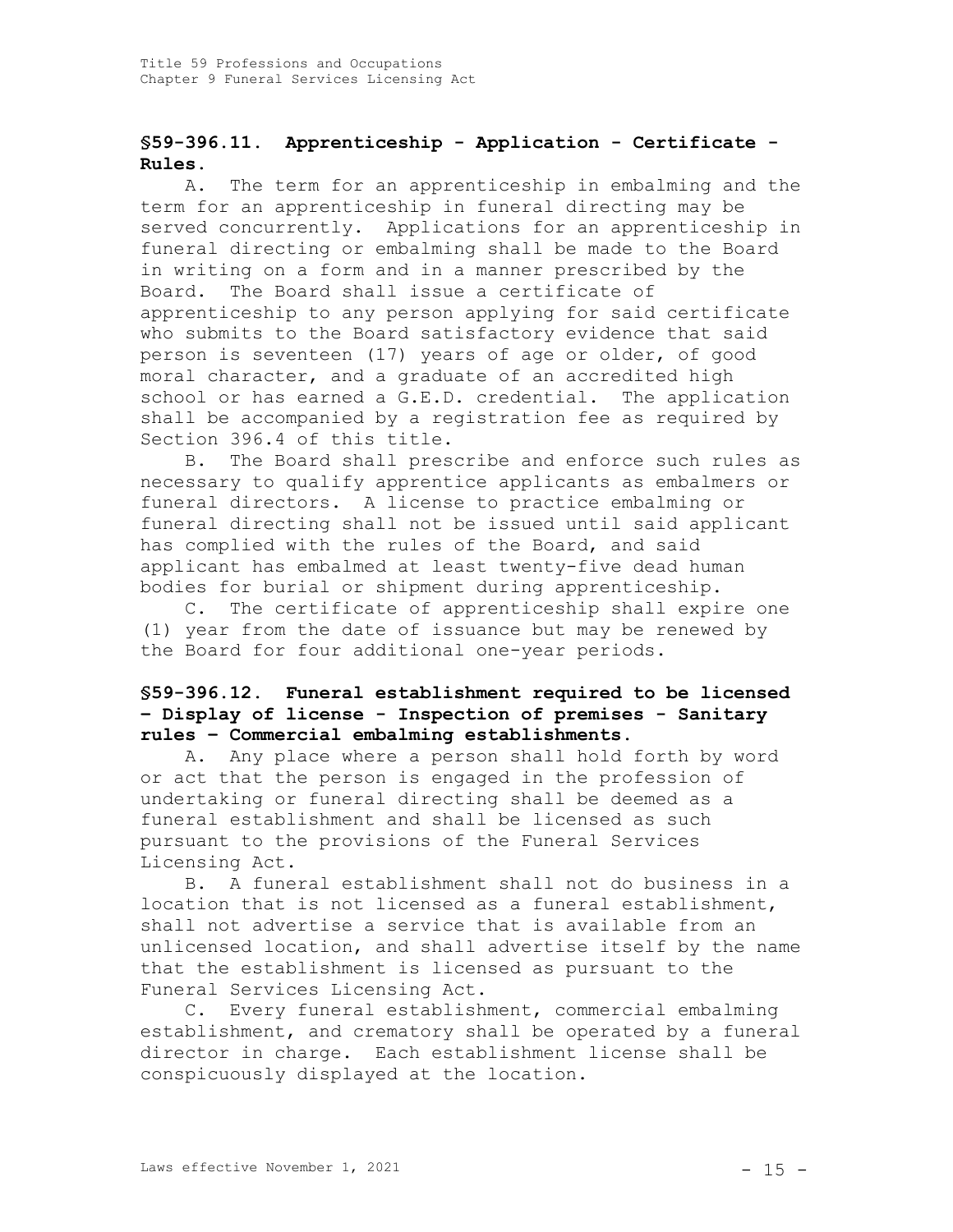# **§59-396.11. Apprenticeship - Application - Certificate - Rules.**

A. The term for an apprenticeship in embalming and the term for an apprenticeship in funeral directing may be served concurrently. Applications for an apprenticeship in funeral directing or embalming shall be made to the Board in writing on a form and in a manner prescribed by the Board. The Board shall issue a certificate of apprenticeship to any person applying for said certificate who submits to the Board satisfactory evidence that said person is seventeen (17) years of age or older, of good moral character, and a graduate of an accredited high school or has earned a G.E.D. credential. The application shall be accompanied by a registration fee as required by Section 396.4 of this title.

B. The Board shall prescribe and enforce such rules as necessary to qualify apprentice applicants as embalmers or funeral directors. A license to practice embalming or funeral directing shall not be issued until said applicant has complied with the rules of the Board, and said applicant has embalmed at least twenty-five dead human bodies for burial or shipment during apprenticeship.

C. The certificate of apprenticeship shall expire one (1) year from the date of issuance but may be renewed by the Board for four additional one-year periods.

# **§59-396.12. Funeral establishment required to be licensed – Display of license - Inspection of premises - Sanitary rules – Commercial embalming establishments.**

A. Any place where a person shall hold forth by word or act that the person is engaged in the profession of undertaking or funeral directing shall be deemed as a funeral establishment and shall be licensed as such pursuant to the provisions of the Funeral Services Licensing Act.

B. A funeral establishment shall not do business in a location that is not licensed as a funeral establishment, shall not advertise a service that is available from an unlicensed location, and shall advertise itself by the name that the establishment is licensed as pursuant to the Funeral Services Licensing Act.

C. Every funeral establishment, commercial embalming establishment, and crematory shall be operated by a funeral director in charge. Each establishment license shall be conspicuously displayed at the location.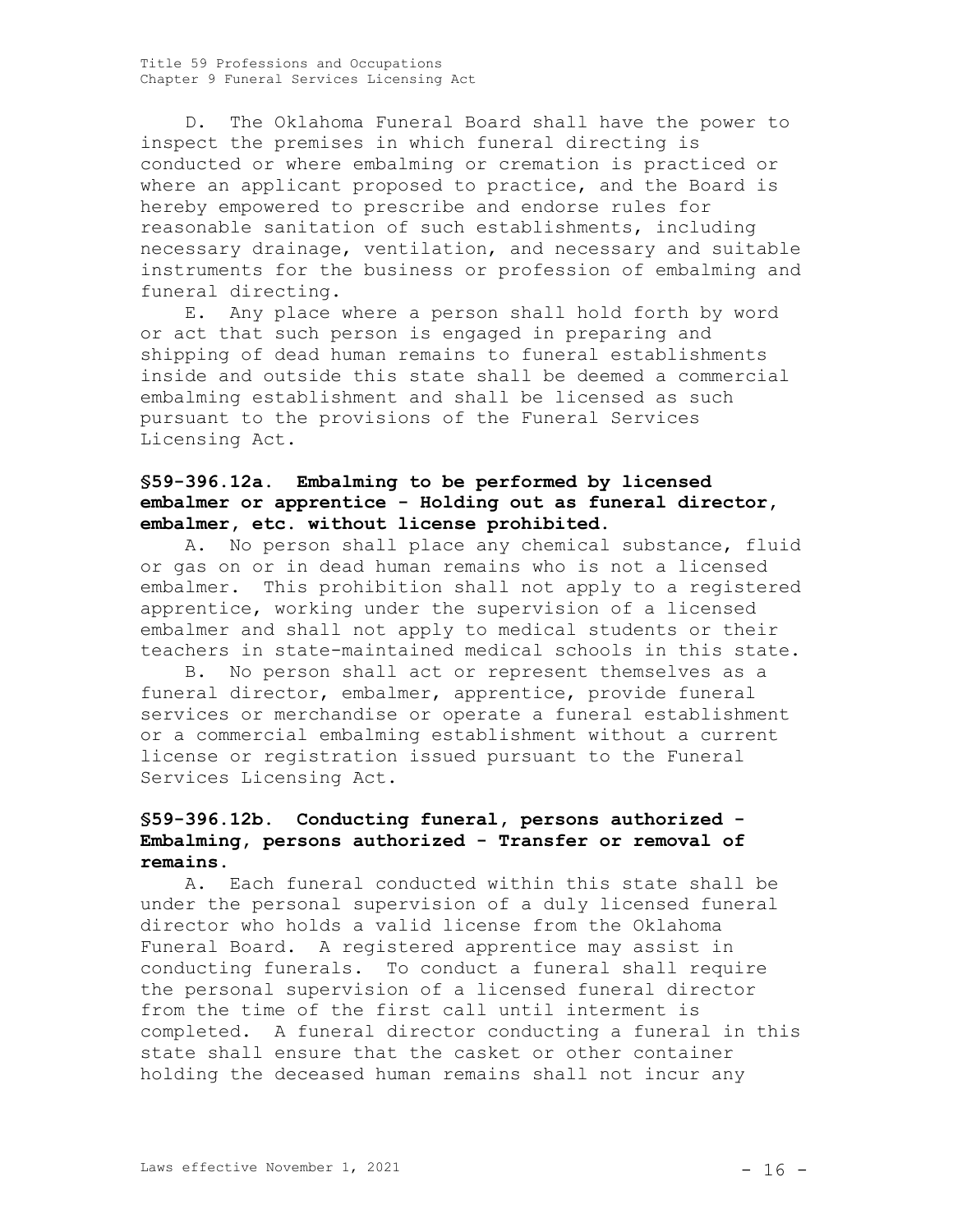D. The Oklahoma Funeral Board shall have the power to inspect the premises in which funeral directing is conducted or where embalming or cremation is practiced or where an applicant proposed to practice, and the Board is hereby empowered to prescribe and endorse rules for reasonable sanitation of such establishments, including necessary drainage, ventilation, and necessary and suitable instruments for the business or profession of embalming and funeral directing.

E. Any place where a person shall hold forth by word or act that such person is engaged in preparing and shipping of dead human remains to funeral establishments inside and outside this state shall be deemed a commercial embalming establishment and shall be licensed as such pursuant to the provisions of the Funeral Services Licensing Act.

# **§59-396.12a. Embalming to be performed by licensed embalmer or apprentice - Holding out as funeral director, embalmer, etc. without license prohibited.**

A. No person shall place any chemical substance, fluid or gas on or in dead human remains who is not a licensed embalmer. This prohibition shall not apply to a registered apprentice, working under the supervision of a licensed embalmer and shall not apply to medical students or their teachers in state-maintained medical schools in this state.

B. No person shall act or represent themselves as a funeral director, embalmer, apprentice, provide funeral services or merchandise or operate a funeral establishment or a commercial embalming establishment without a current license or registration issued pursuant to the Funeral Services Licensing Act.

# **§59-396.12b. Conducting funeral, persons authorized - Embalming, persons authorized - Transfer or removal of remains.**

A. Each funeral conducted within this state shall be under the personal supervision of a duly licensed funeral director who holds a valid license from the Oklahoma Funeral Board. A registered apprentice may assist in conducting funerals. To conduct a funeral shall require the personal supervision of a licensed funeral director from the time of the first call until interment is completed. A funeral director conducting a funeral in this state shall ensure that the casket or other container holding the deceased human remains shall not incur any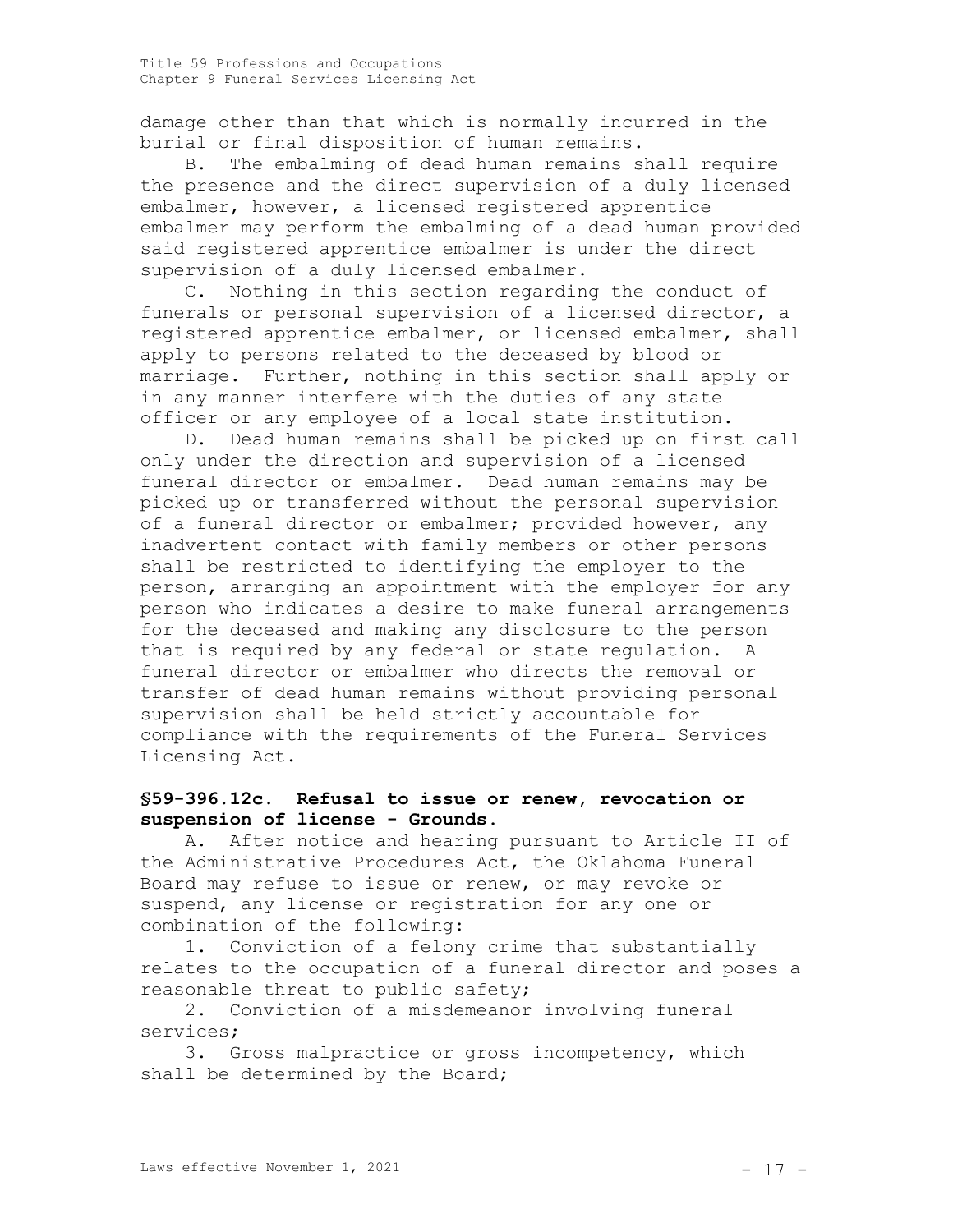damage other than that which is normally incurred in the burial or final disposition of human remains.

B. The embalming of dead human remains shall require the presence and the direct supervision of a duly licensed embalmer, however, a licensed registered apprentice embalmer may perform the embalming of a dead human provided said registered apprentice embalmer is under the direct supervision of a duly licensed embalmer.

C. Nothing in this section regarding the conduct of funerals or personal supervision of a licensed director, a registered apprentice embalmer, or licensed embalmer, shall apply to persons related to the deceased by blood or marriage. Further, nothing in this section shall apply or in any manner interfere with the duties of any state officer or any employee of a local state institution.

D. Dead human remains shall be picked up on first call only under the direction and supervision of a licensed funeral director or embalmer. Dead human remains may be picked up or transferred without the personal supervision of a funeral director or embalmer; provided however, any inadvertent contact with family members or other persons shall be restricted to identifying the employer to the person, arranging an appointment with the employer for any person who indicates a desire to make funeral arrangements for the deceased and making any disclosure to the person that is required by any federal or state regulation. A funeral director or embalmer who directs the removal or transfer of dead human remains without providing personal supervision shall be held strictly accountable for compliance with the requirements of the Funeral Services Licensing Act.

## **§59-396.12c. Refusal to issue or renew, revocation or suspension of license - Grounds.**

A. After notice and hearing pursuant to Article II of the Administrative Procedures Act, the Oklahoma Funeral Board may refuse to issue or renew, or may revoke or suspend, any license or registration for any one or combination of the following:

1. Conviction of a felony crime that substantially relates to the occupation of a funeral director and poses a reasonable threat to public safety;

2. Conviction of a misdemeanor involving funeral services;

3. Gross malpractice or gross incompetency, which shall be determined by the Board;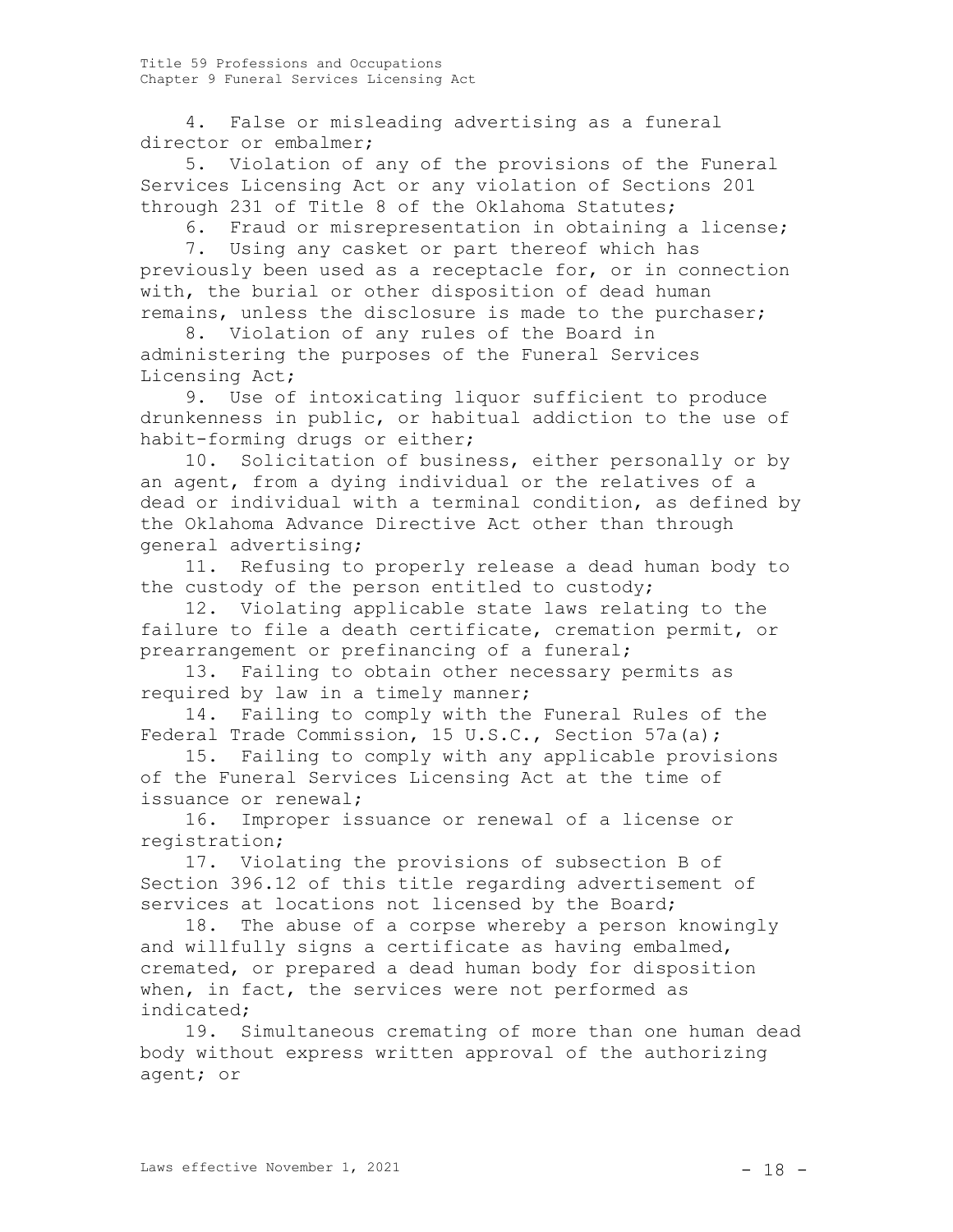4. False or misleading advertising as a funeral director or embalmer;

5. Violation of any of the provisions of the Funeral Services Licensing Act or any violation of Sections 201 through 231 of Title 8 of the Oklahoma Statutes;

6. Fraud or misrepresentation in obtaining a license;

7. Using any casket or part thereof which has previously been used as a receptacle for, or in connection with, the burial or other disposition of dead human remains, unless the disclosure is made to the purchaser;

8. Violation of any rules of the Board in administering the purposes of the Funeral Services Licensing Act;

9. Use of intoxicating liquor sufficient to produce drunkenness in public, or habitual addiction to the use of habit-forming drugs or either;

10. Solicitation of business, either personally or by an agent, from a dying individual or the relatives of a dead or individual with a terminal condition, as defined by the Oklahoma Advance Directive Act other than through general advertising;

11. Refusing to properly release a dead human body to the custody of the person entitled to custody;

12. Violating applicable state laws relating to the failure to file a death certificate, cremation permit, or prearrangement or prefinancing of a funeral;

13. Failing to obtain other necessary permits as required by law in a timely manner;

14. Failing to comply with the Funeral Rules of the Federal Trade Commission, 15 U.S.C., Section 57a(a);

15. Failing to comply with any applicable provisions of the Funeral Services Licensing Act at the time of issuance or renewal;

16. Improper issuance or renewal of a license or registration;

17. Violating the provisions of subsection B of Section 396.12 of this title regarding advertisement of services at locations not licensed by the Board;

18. The abuse of a corpse whereby a person knowingly and willfully signs a certificate as having embalmed, cremated, or prepared a dead human body for disposition when, in fact, the services were not performed as indicated;

19. Simultaneous cremating of more than one human dead body without express written approval of the authorizing agent; or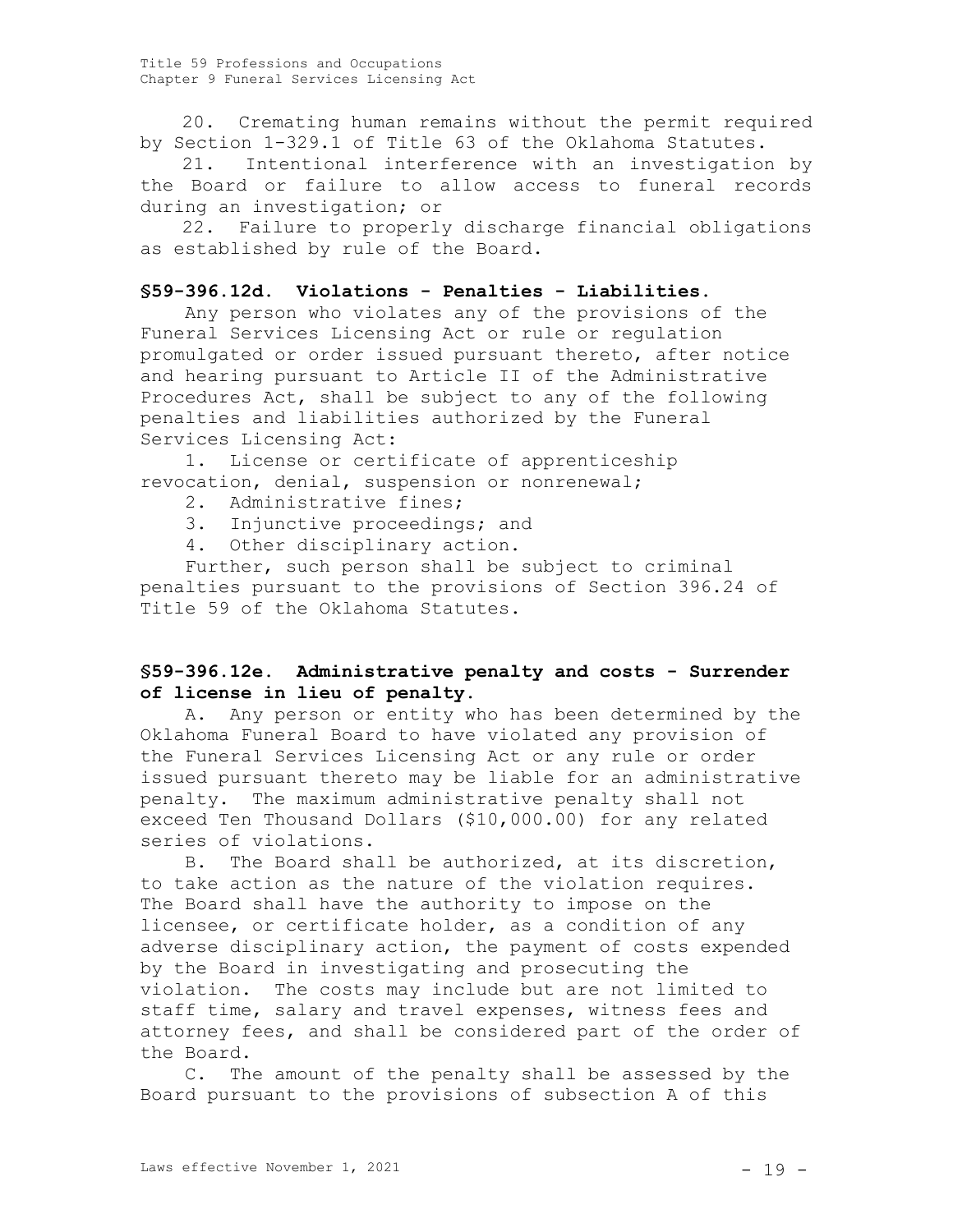20. Cremating human remains without the permit required by Section 1-329.1 of Title 63 of the Oklahoma Statutes.

21. Intentional interference with an investigation by the Board or failure to allow access to funeral records during an investigation; or

22. Failure to properly discharge financial obligations as established by rule of the Board.

## **§59-396.12d. Violations - Penalties - Liabilities.**

Any person who violates any of the provisions of the Funeral Services Licensing Act or rule or regulation promulgated or order issued pursuant thereto, after notice and hearing pursuant to Article II of the Administrative Procedures Act, shall be subject to any of the following penalties and liabilities authorized by the Funeral Services Licensing Act:

1. License or certificate of apprenticeship revocation, denial, suspension or nonrenewal;

- 2. Administrative fines;
- 3. Injunctive proceedings; and
- 4. Other disciplinary action.

Further, such person shall be subject to criminal penalties pursuant to the provisions of Section 396.24 of Title 59 of the Oklahoma Statutes.

## **§59-396.12e. Administrative penalty and costs - Surrender of license in lieu of penalty.**

A. Any person or entity who has been determined by the Oklahoma Funeral Board to have violated any provision of the Funeral Services Licensing Act or any rule or order issued pursuant thereto may be liable for an administrative penalty. The maximum administrative penalty shall not exceed Ten Thousand Dollars (\$10,000.00) for any related series of violations.

B. The Board shall be authorized, at its discretion, to take action as the nature of the violation requires. The Board shall have the authority to impose on the licensee, or certificate holder, as a condition of any adverse disciplinary action, the payment of costs expended by the Board in investigating and prosecuting the violation. The costs may include but are not limited to staff time, salary and travel expenses, witness fees and attorney fees, and shall be considered part of the order of the Board.

C. The amount of the penalty shall be assessed by the Board pursuant to the provisions of subsection A of this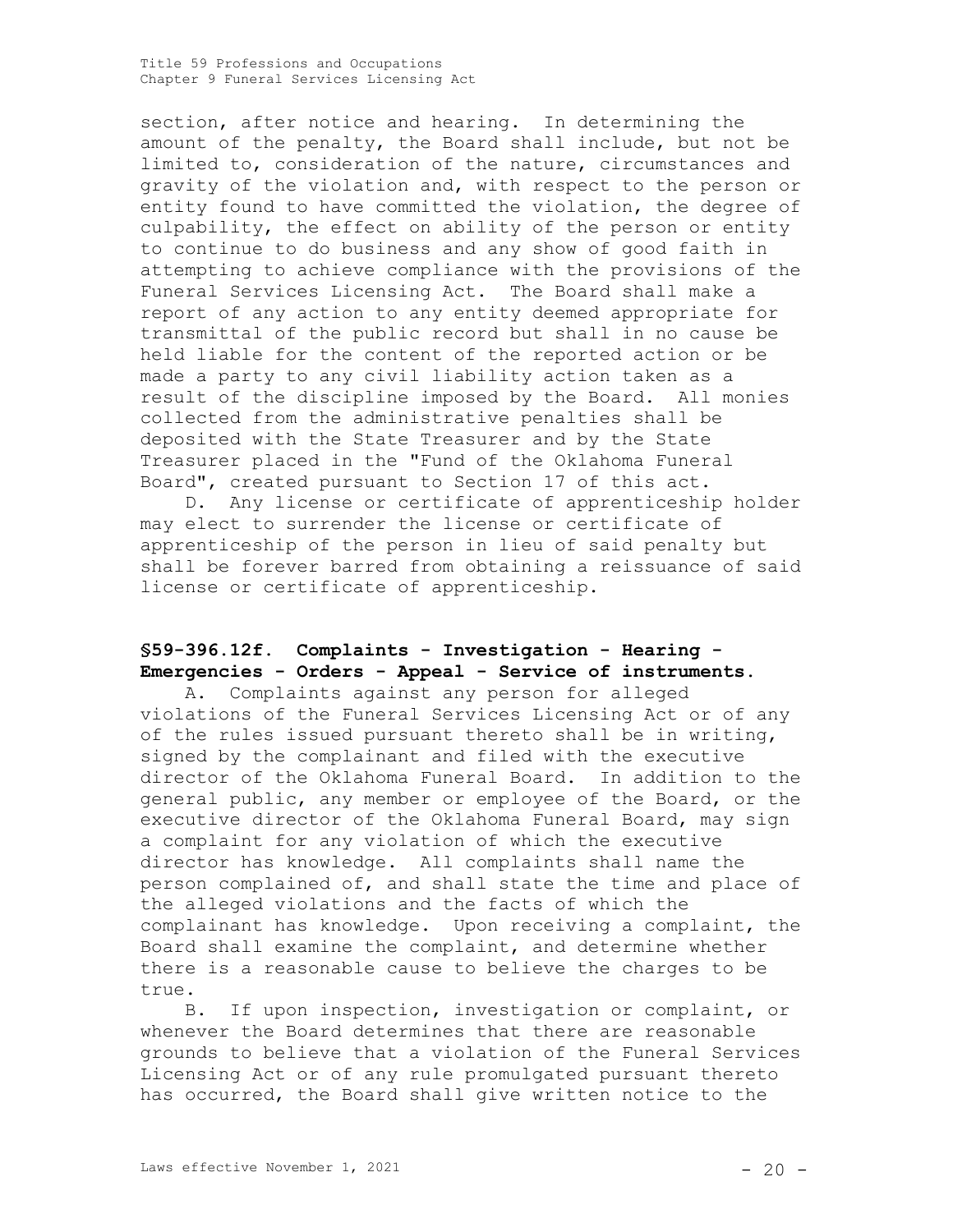section, after notice and hearing. In determining the amount of the penalty, the Board shall include, but not be limited to, consideration of the nature, circumstances and gravity of the violation and, with respect to the person or entity found to have committed the violation, the degree of culpability, the effect on ability of the person or entity to continue to do business and any show of good faith in attempting to achieve compliance with the provisions of the Funeral Services Licensing Act. The Board shall make a report of any action to any entity deemed appropriate for transmittal of the public record but shall in no cause be held liable for the content of the reported action or be made a party to any civil liability action taken as a result of the discipline imposed by the Board. All monies collected from the administrative penalties shall be deposited with the State Treasurer and by the State Treasurer placed in the "Fund of the Oklahoma Funeral Board", created pursuant to Section 17 of this act.

D. Any license or certificate of apprenticeship holder may elect to surrender the license or certificate of apprenticeship of the person in lieu of said penalty but shall be forever barred from obtaining a reissuance of said license or certificate of apprenticeship.

# **§59-396.12f. Complaints - Investigation - Hearing - Emergencies - Orders - Appeal - Service of instruments.**

A. Complaints against any person for alleged violations of the Funeral Services Licensing Act or of any of the rules issued pursuant thereto shall be in writing, signed by the complainant and filed with the executive director of the Oklahoma Funeral Board. In addition to the general public, any member or employee of the Board, or the executive director of the Oklahoma Funeral Board, may sign a complaint for any violation of which the executive director has knowledge. All complaints shall name the person complained of, and shall state the time and place of the alleged violations and the facts of which the complainant has knowledge. Upon receiving a complaint, the Board shall examine the complaint, and determine whether there is a reasonable cause to believe the charges to be true.

B. If upon inspection, investigation or complaint, or whenever the Board determines that there are reasonable grounds to believe that a violation of the Funeral Services Licensing Act or of any rule promulgated pursuant thereto has occurred, the Board shall give written notice to the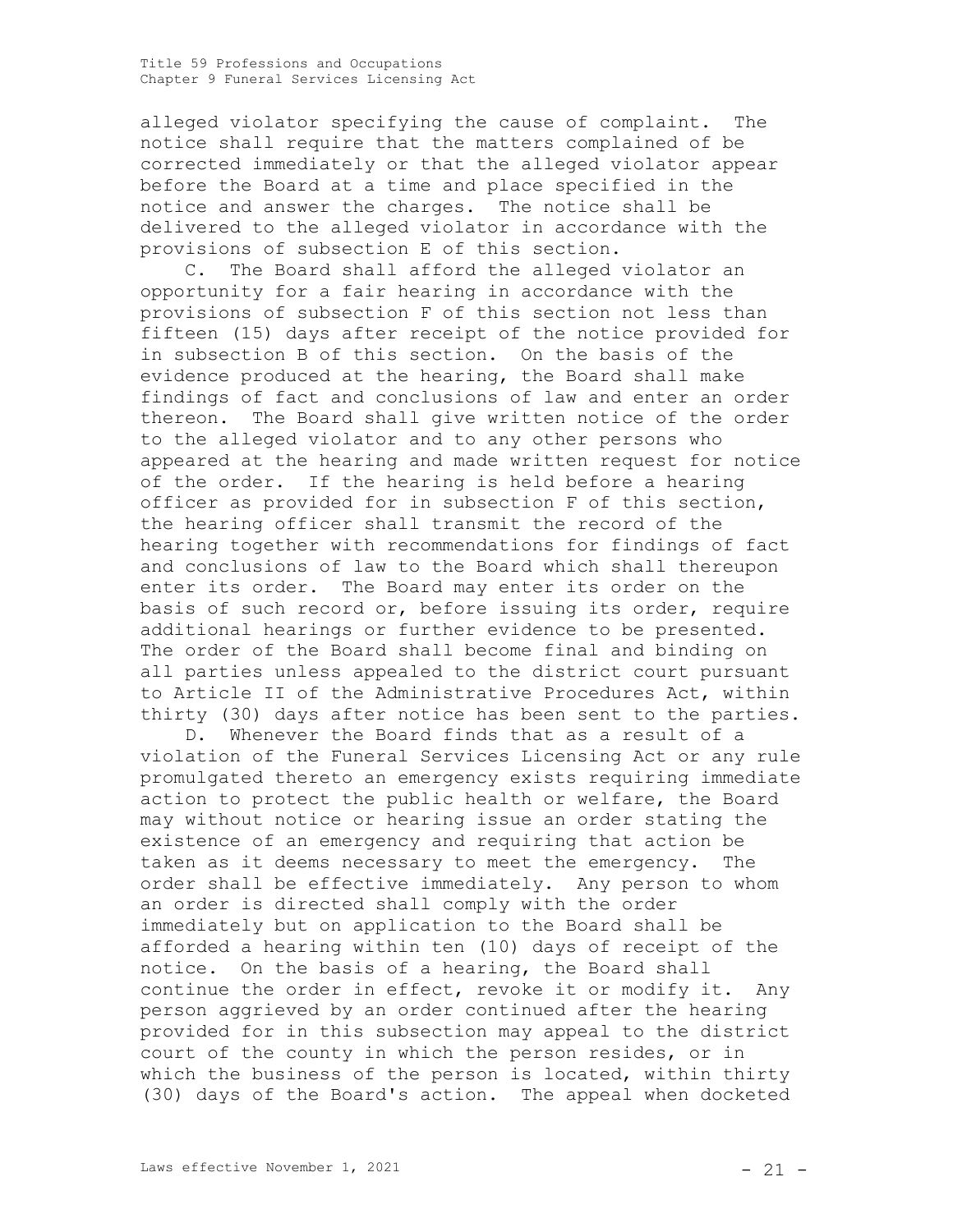alleged violator specifying the cause of complaint. The notice shall require that the matters complained of be corrected immediately or that the alleged violator appear before the Board at a time and place specified in the notice and answer the charges. The notice shall be delivered to the alleged violator in accordance with the provisions of subsection E of this section.

C. The Board shall afford the alleged violator an opportunity for a fair hearing in accordance with the provisions of subsection F of this section not less than fifteen (15) days after receipt of the notice provided for in subsection B of this section. On the basis of the evidence produced at the hearing, the Board shall make findings of fact and conclusions of law and enter an order thereon. The Board shall give written notice of the order to the alleged violator and to any other persons who appeared at the hearing and made written request for notice of the order. If the hearing is held before a hearing officer as provided for in subsection F of this section, the hearing officer shall transmit the record of the hearing together with recommendations for findings of fact and conclusions of law to the Board which shall thereupon enter its order. The Board may enter its order on the basis of such record or, before issuing its order, require additional hearings or further evidence to be presented. The order of the Board shall become final and binding on all parties unless appealed to the district court pursuant to Article II of the Administrative Procedures Act, within thirty (30) days after notice has been sent to the parties.

D. Whenever the Board finds that as a result of a violation of the Funeral Services Licensing Act or any rule promulgated thereto an emergency exists requiring immediate action to protect the public health or welfare, the Board may without notice or hearing issue an order stating the existence of an emergency and requiring that action be taken as it deems necessary to meet the emergency. The order shall be effective immediately. Any person to whom an order is directed shall comply with the order immediately but on application to the Board shall be afforded a hearing within ten (10) days of receipt of the notice. On the basis of a hearing, the Board shall continue the order in effect, revoke it or modify it. Any person aggrieved by an order continued after the hearing provided for in this subsection may appeal to the district court of the county in which the person resides, or in which the business of the person is located, within thirty (30) days of the Board's action. The appeal when docketed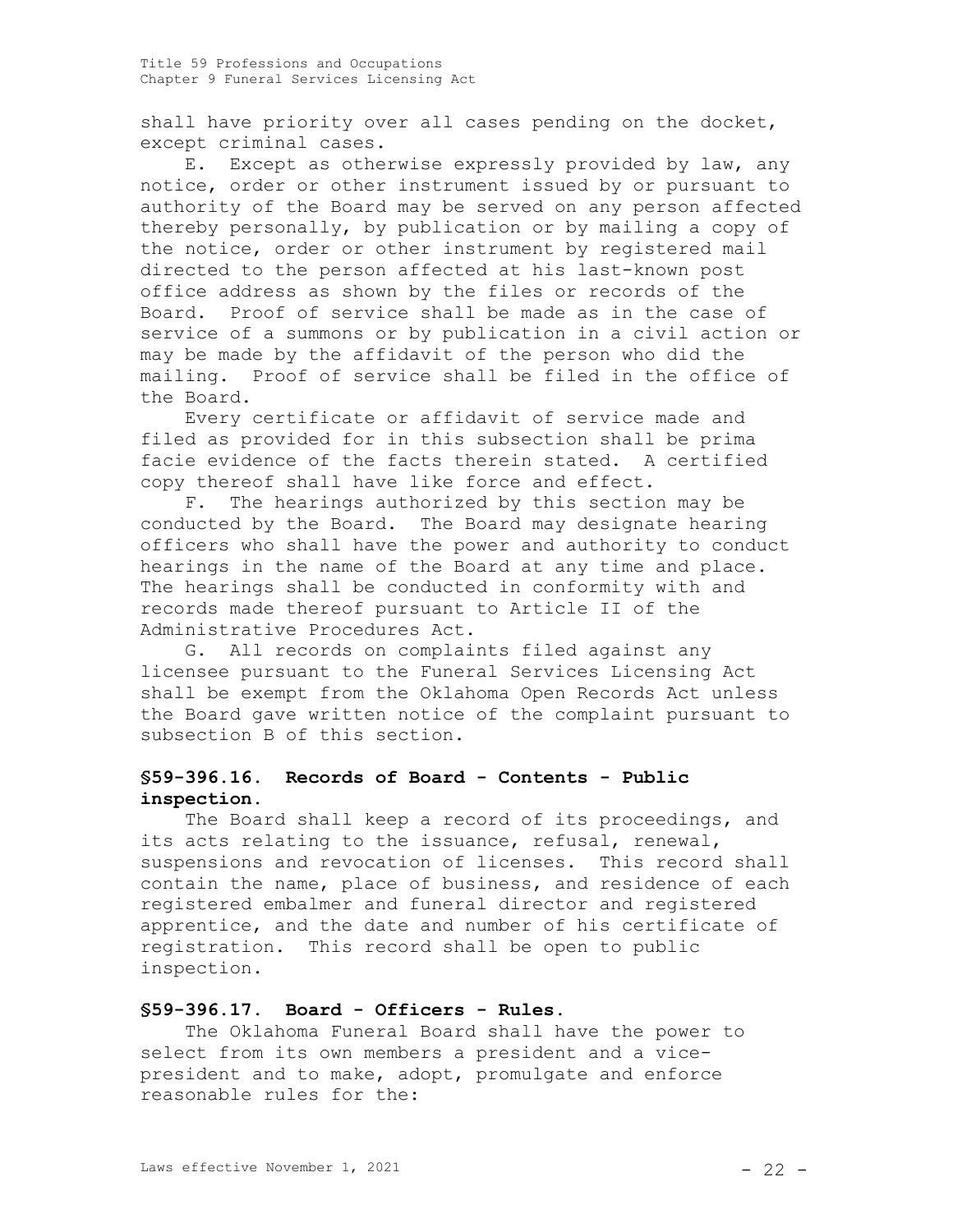shall have priority over all cases pending on the docket, except criminal cases.

E. Except as otherwise expressly provided by law, any notice, order or other instrument issued by or pursuant to authority of the Board may be served on any person affected thereby personally, by publication or by mailing a copy of the notice, order or other instrument by registered mail directed to the person affected at his last-known post office address as shown by the files or records of the Board. Proof of service shall be made as in the case of service of a summons or by publication in a civil action or may be made by the affidavit of the person who did the mailing. Proof of service shall be filed in the office of the Board.

Every certificate or affidavit of service made and filed as provided for in this subsection shall be prima facie evidence of the facts therein stated. A certified copy thereof shall have like force and effect.

F. The hearings authorized by this section may be conducted by the Board. The Board may designate hearing officers who shall have the power and authority to conduct hearings in the name of the Board at any time and place. The hearings shall be conducted in conformity with and records made thereof pursuant to Article II of the Administrative Procedures Act.

G. All records on complaints filed against any licensee pursuant to the Funeral Services Licensing Act shall be exempt from the Oklahoma Open Records Act unless the Board gave written notice of the complaint pursuant to subsection B of this section.

## **§59-396.16. Records of Board - Contents - Public inspection.**

The Board shall keep a record of its proceedings, and its acts relating to the issuance, refusal, renewal, suspensions and revocation of licenses. This record shall contain the name, place of business, and residence of each registered embalmer and funeral director and registered apprentice, and the date and number of his certificate of registration. This record shall be open to public inspection.

## **§59-396.17. Board - Officers - Rules.**

The Oklahoma Funeral Board shall have the power to select from its own members a president and a vicepresident and to make, adopt, promulgate and enforce reasonable rules for the: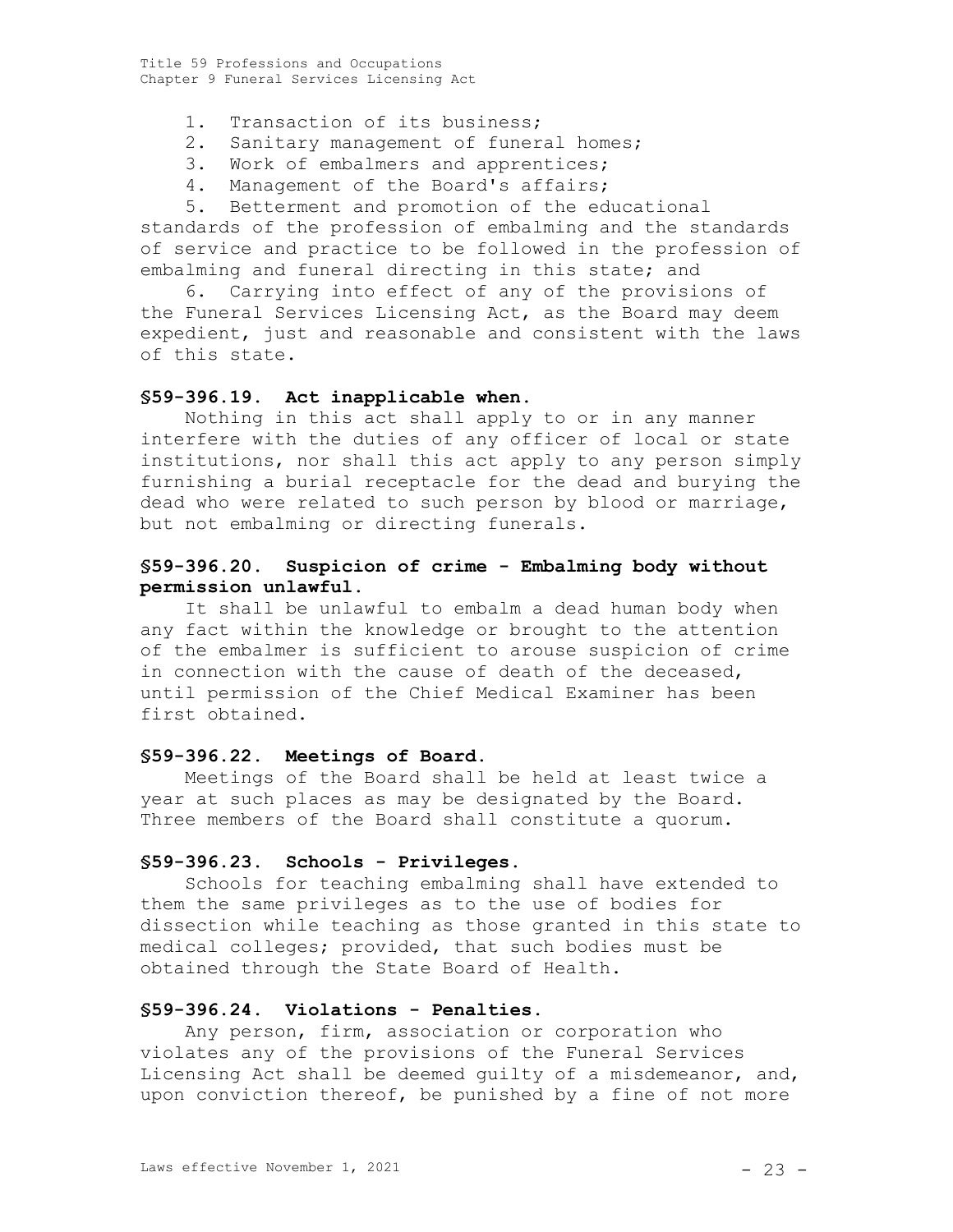- 1. Transaction of its business;
- 2. Sanitary management of funeral homes;
- 3. Work of embalmers and apprentices;
- 4. Management of the Board's affairs;

5. Betterment and promotion of the educational standards of the profession of embalming and the standards of service and practice to be followed in the profession of embalming and funeral directing in this state; and

6. Carrying into effect of any of the provisions of the Funeral Services Licensing Act, as the Board may deem expedient, just and reasonable and consistent with the laws of this state.

#### **§59-396.19. Act inapplicable when.**

Nothing in this act shall apply to or in any manner interfere with the duties of any officer of local or state institutions, nor shall this act apply to any person simply furnishing a burial receptacle for the dead and burying the dead who were related to such person by blood or marriage, but not embalming or directing funerals.

## **§59-396.20. Suspicion of crime - Embalming body without permission unlawful.**

It shall be unlawful to embalm a dead human body when any fact within the knowledge or brought to the attention of the embalmer is sufficient to arouse suspicion of crime in connection with the cause of death of the deceased, until permission of the Chief Medical Examiner has been first obtained.

#### **§59-396.22. Meetings of Board.**

Meetings of the Board shall be held at least twice a year at such places as may be designated by the Board. Three members of the Board shall constitute a quorum.

#### **§59-396.23. Schools - Privileges.**

Schools for teaching embalming shall have extended to them the same privileges as to the use of bodies for dissection while teaching as those granted in this state to medical colleges; provided, that such bodies must be obtained through the State Board of Health.

## **§59-396.24. Violations - Penalties.**

Any person, firm, association or corporation who violates any of the provisions of the Funeral Services Licensing Act shall be deemed guilty of a misdemeanor, and, upon conviction thereof, be punished by a fine of not more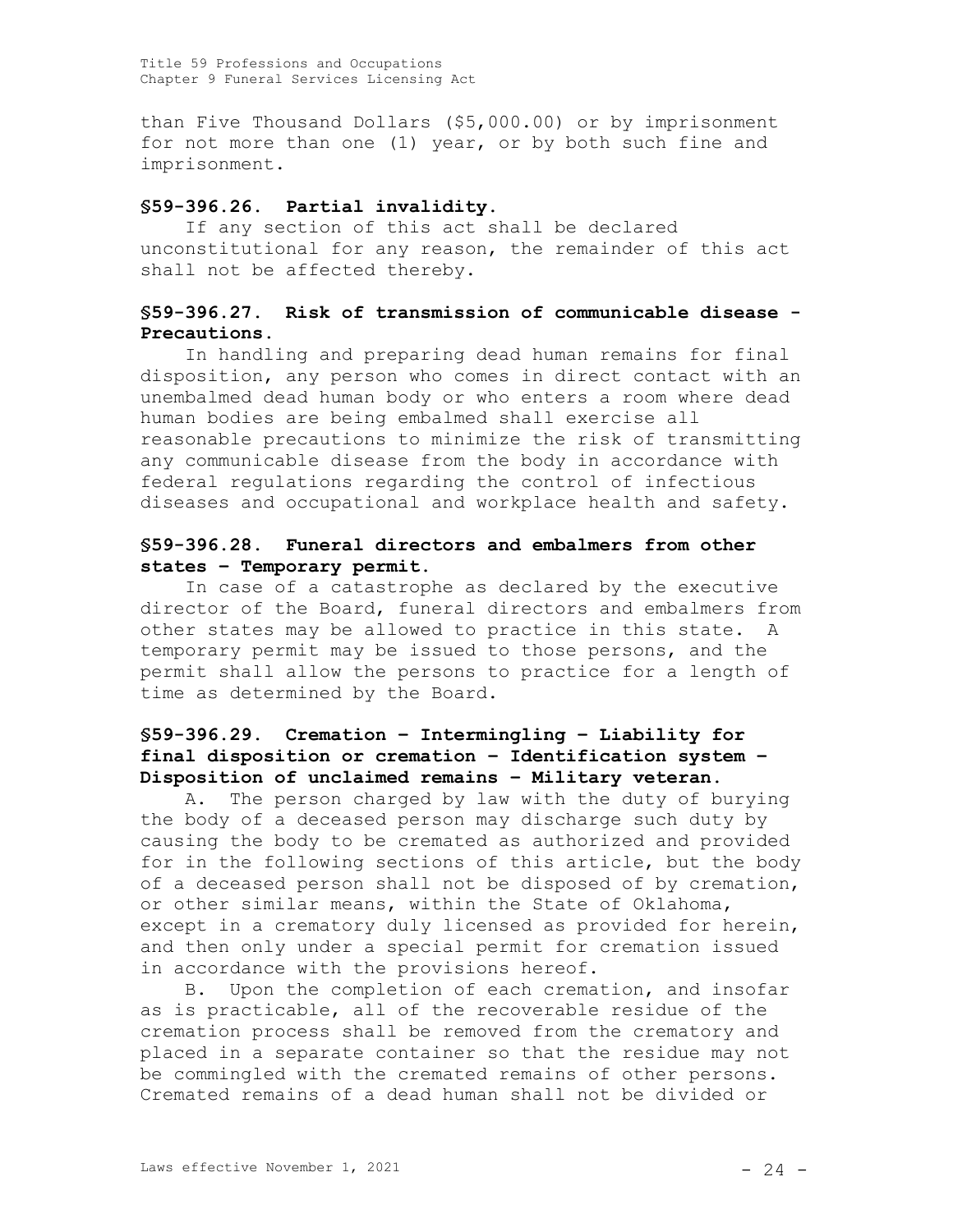than Five Thousand Dollars (\$5,000.00) or by imprisonment for not more than one (1) year, or by both such fine and imprisonment.

## **§59-396.26. Partial invalidity.**

If any section of this act shall be declared unconstitutional for any reason, the remainder of this act shall not be affected thereby.

## **§59-396.27. Risk of transmission of communicable disease - Precautions.**

In handling and preparing dead human remains for final disposition, any person who comes in direct contact with an unembalmed dead human body or who enters a room where dead human bodies are being embalmed shall exercise all reasonable precautions to minimize the risk of transmitting any communicable disease from the body in accordance with federal regulations regarding the control of infectious diseases and occupational and workplace health and safety.

## **§59-396.28. Funeral directors and embalmers from other states – Temporary permit.**

In case of a catastrophe as declared by the executive director of the Board, funeral directors and embalmers from other states may be allowed to practice in this state. A temporary permit may be issued to those persons, and the permit shall allow the persons to practice for a length of time as determined by the Board.

# **§59-396.29. Cremation – Intermingling – Liability for final disposition or cremation – Identification system – Disposition of unclaimed remains – Military veteran**.

A. The person charged by law with the duty of burying the body of a deceased person may discharge such duty by causing the body to be cremated as authorized and provided for in the following sections of this article, but the body of a deceased person shall not be disposed of by cremation, or other similar means, within the State of Oklahoma, except in a crematory duly licensed as provided for herein, and then only under a special permit for cremation issued in accordance with the provisions hereof.

B. Upon the completion of each cremation, and insofar as is practicable, all of the recoverable residue of the cremation process shall be removed from the crematory and placed in a separate container so that the residue may not be commingled with the cremated remains of other persons. Cremated remains of a dead human shall not be divided or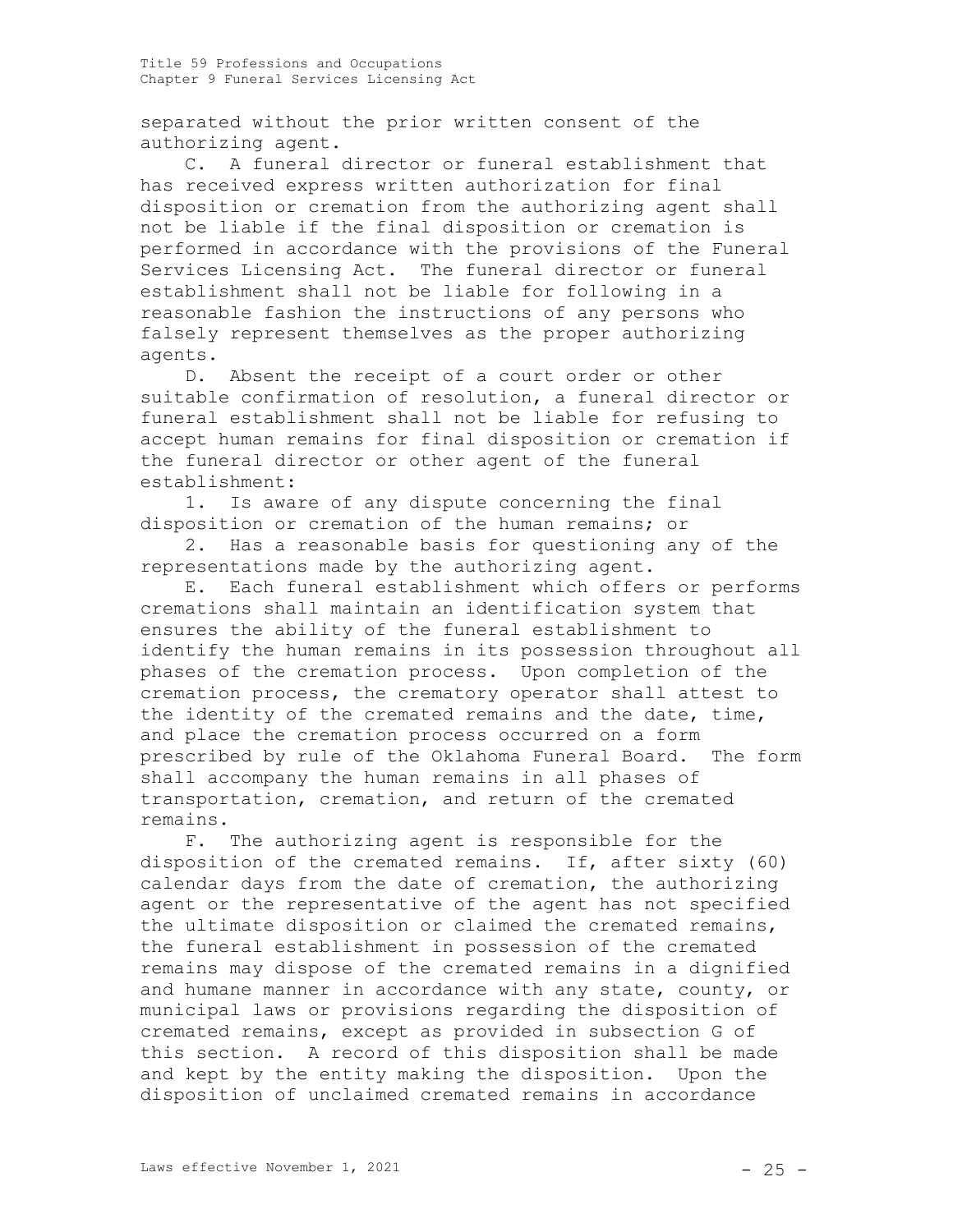separated without the prior written consent of the authorizing agent.

C. A funeral director or funeral establishment that has received express written authorization for final disposition or cremation from the authorizing agent shall not be liable if the final disposition or cremation is performed in accordance with the provisions of the Funeral Services Licensing Act. The funeral director or funeral establishment shall not be liable for following in a reasonable fashion the instructions of any persons who falsely represent themselves as the proper authorizing agents.

D. Absent the receipt of a court order or other suitable confirmation of resolution, a funeral director or funeral establishment shall not be liable for refusing to accept human remains for final disposition or cremation if the funeral director or other agent of the funeral establishment:

1. Is aware of any dispute concerning the final disposition or cremation of the human remains; or

2. Has a reasonable basis for questioning any of the representations made by the authorizing agent.

E. Each funeral establishment which offers or performs cremations shall maintain an identification system that ensures the ability of the funeral establishment to identify the human remains in its possession throughout all phases of the cremation process. Upon completion of the cremation process, the crematory operator shall attest to the identity of the cremated remains and the date, time, and place the cremation process occurred on a form prescribed by rule of the Oklahoma Funeral Board. The form shall accompany the human remains in all phases of transportation, cremation, and return of the cremated remains.

F. The authorizing agent is responsible for the disposition of the cremated remains. If, after sixty (60) calendar days from the date of cremation, the authorizing agent or the representative of the agent has not specified the ultimate disposition or claimed the cremated remains, the funeral establishment in possession of the cremated remains may dispose of the cremated remains in a dignified and humane manner in accordance with any state, county, or municipal laws or provisions regarding the disposition of cremated remains, except as provided in subsection G of this section. A record of this disposition shall be made and kept by the entity making the disposition. Upon the disposition of unclaimed cremated remains in accordance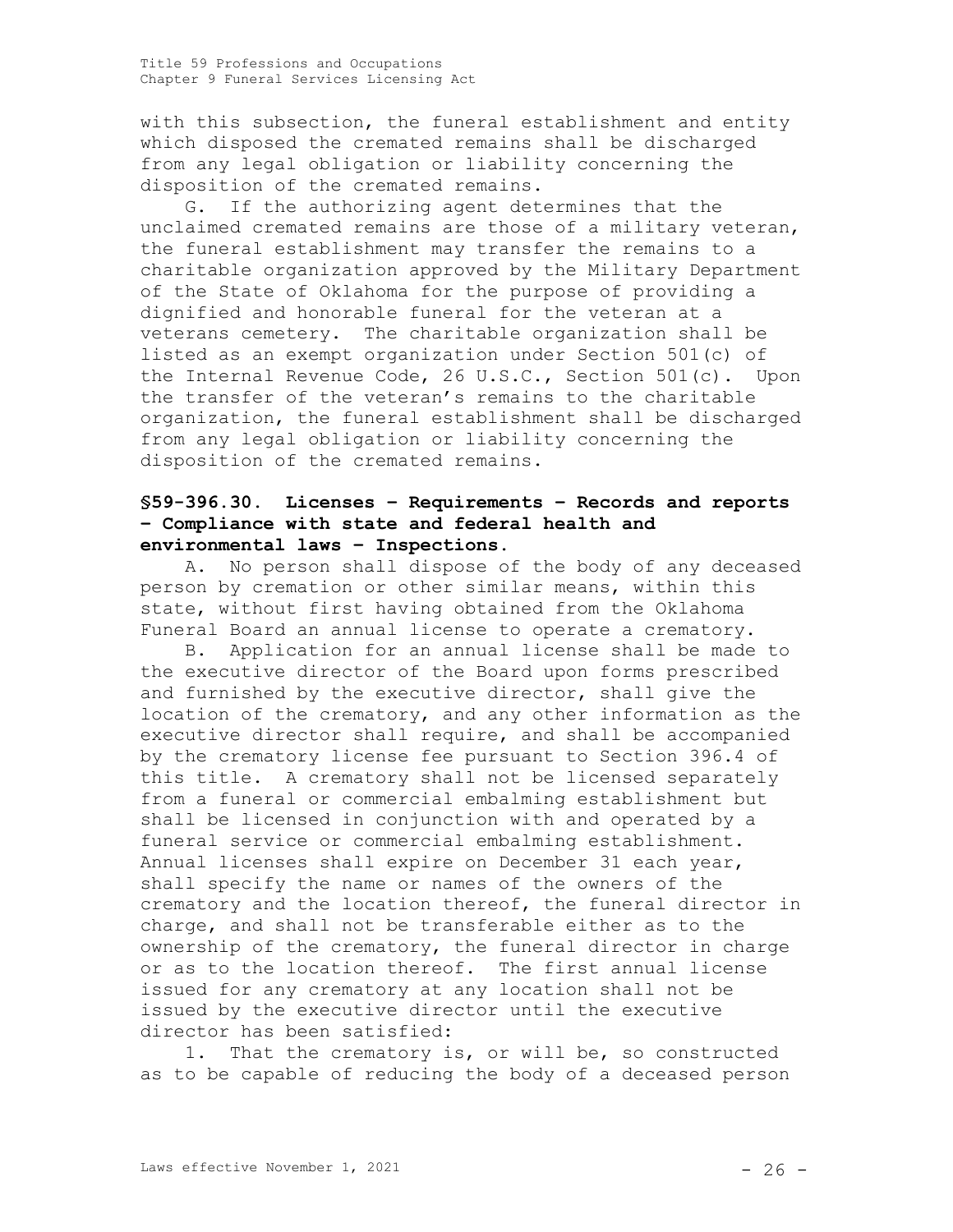with this subsection, the funeral establishment and entity which disposed the cremated remains shall be discharged from any legal obligation or liability concerning the disposition of the cremated remains.

G. If the authorizing agent determines that the unclaimed cremated remains are those of a military veteran, the funeral establishment may transfer the remains to a charitable organization approved by the Military Department of the State of Oklahoma for the purpose of providing a dignified and honorable funeral for the veteran at a veterans cemetery. The charitable organization shall be listed as an exempt organization under Section 501(c) of the Internal Revenue Code, 26 U.S.C., Section 501(c). Upon the transfer of the veteran's remains to the charitable organization, the funeral establishment shall be discharged from any legal obligation or liability concerning the disposition of the cremated remains.

## **§59-396.30. Licenses – Requirements – Records and reports – Compliance with state and federal health and environmental laws – Inspections.**

A. No person shall dispose of the body of any deceased person by cremation or other similar means, within this state, without first having obtained from the Oklahoma Funeral Board an annual license to operate a crematory.

B. Application for an annual license shall be made to the executive director of the Board upon forms prescribed and furnished by the executive director, shall give the location of the crematory, and any other information as the executive director shall require, and shall be accompanied by the crematory license fee pursuant to Section 396.4 of this title. A crematory shall not be licensed separately from a funeral or commercial embalming establishment but shall be licensed in conjunction with and operated by a funeral service or commercial embalming establishment. Annual licenses shall expire on December 31 each year, shall specify the name or names of the owners of the crematory and the location thereof, the funeral director in charge, and shall not be transferable either as to the ownership of the crematory, the funeral director in charge or as to the location thereof. The first annual license issued for any crematory at any location shall not be issued by the executive director until the executive director has been satisfied:

1. That the crematory is, or will be, so constructed as to be capable of reducing the body of a deceased person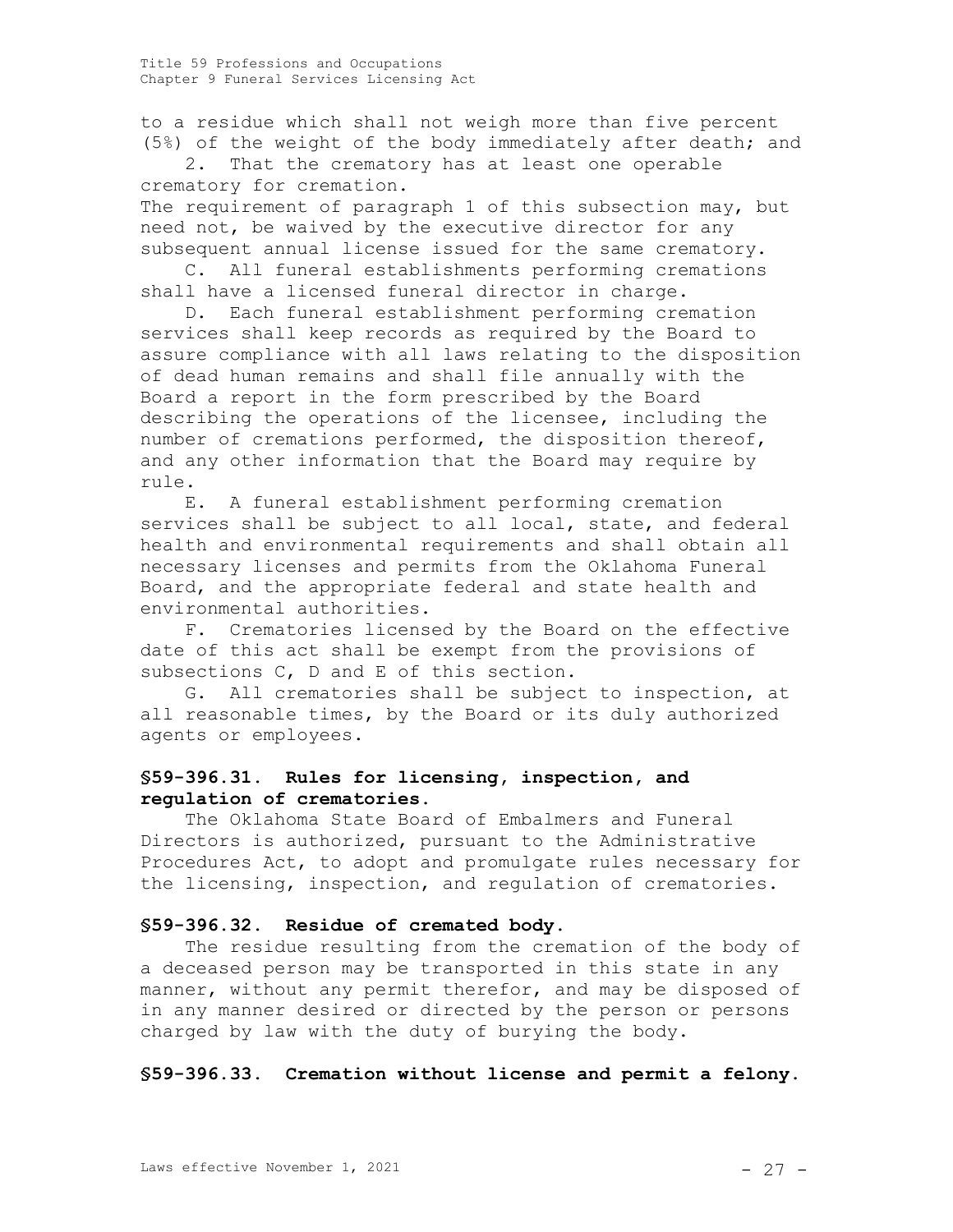to a residue which shall not weigh more than five percent (5%) of the weight of the body immediately after death; and

2. That the crematory has at least one operable crematory for cremation.

The requirement of paragraph 1 of this subsection may, but need not, be waived by the executive director for any subsequent annual license issued for the same crematory.

C. All funeral establishments performing cremations shall have a licensed funeral director in charge.

D. Each funeral establishment performing cremation services shall keep records as required by the Board to assure compliance with all laws relating to the disposition of dead human remains and shall file annually with the Board a report in the form prescribed by the Board describing the operations of the licensee, including the number of cremations performed, the disposition thereof, and any other information that the Board may require by rule.

E. A funeral establishment performing cremation services shall be subject to all local, state, and federal health and environmental requirements and shall obtain all necessary licenses and permits from the Oklahoma Funeral Board, and the appropriate federal and state health and environmental authorities.

F. Crematories licensed by the Board on the effective date of this act shall be exempt from the provisions of subsections C, D and E of this section.

G. All crematories shall be subject to inspection, at all reasonable times, by the Board or its duly authorized agents or employees.

## **§59-396.31. Rules for licensing, inspection, and regulation of crematories.**

The Oklahoma State Board of Embalmers and Funeral Directors is authorized, pursuant to the Administrative Procedures Act, to adopt and promulgate rules necessary for the licensing, inspection, and regulation of crematories.

#### **§59-396.32. Residue of cremated body.**

The residue resulting from the cremation of the body of a deceased person may be transported in this state in any manner, without any permit therefor, and may be disposed of in any manner desired or directed by the person or persons charged by law with the duty of burying the body.

### **§59-396.33. Cremation without license and permit a felony.**